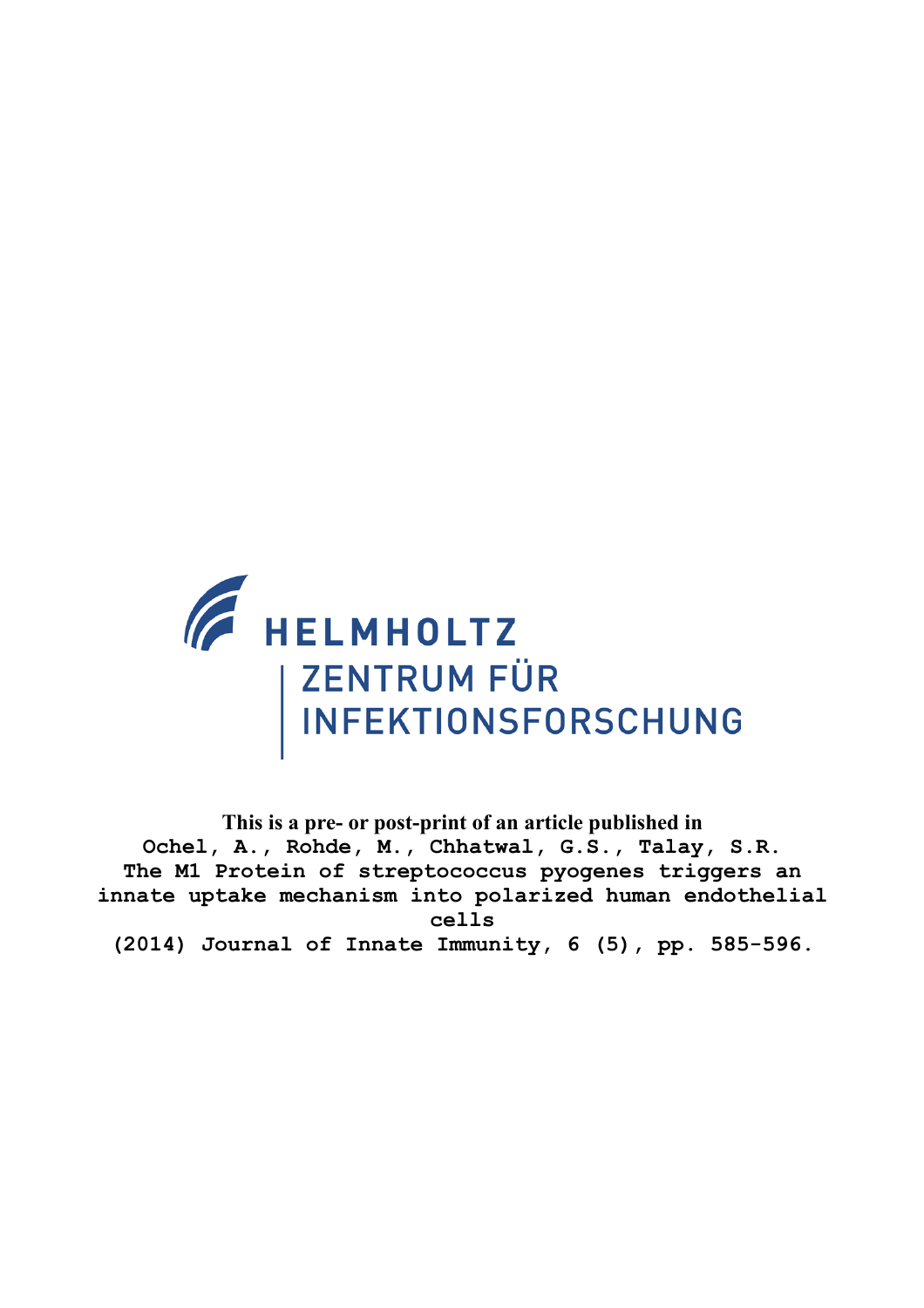

**This is a pre- or post-print of an article published in Ochel, A., Rohde, M., Chhatwal, G.S., Talay, S.R. The M1 Protein of streptococcus pyogenes triggers an innate uptake mechanism into polarized human endothelial cells (2014) Journal of Innate Immunity, 6 (5), pp. 585-596.**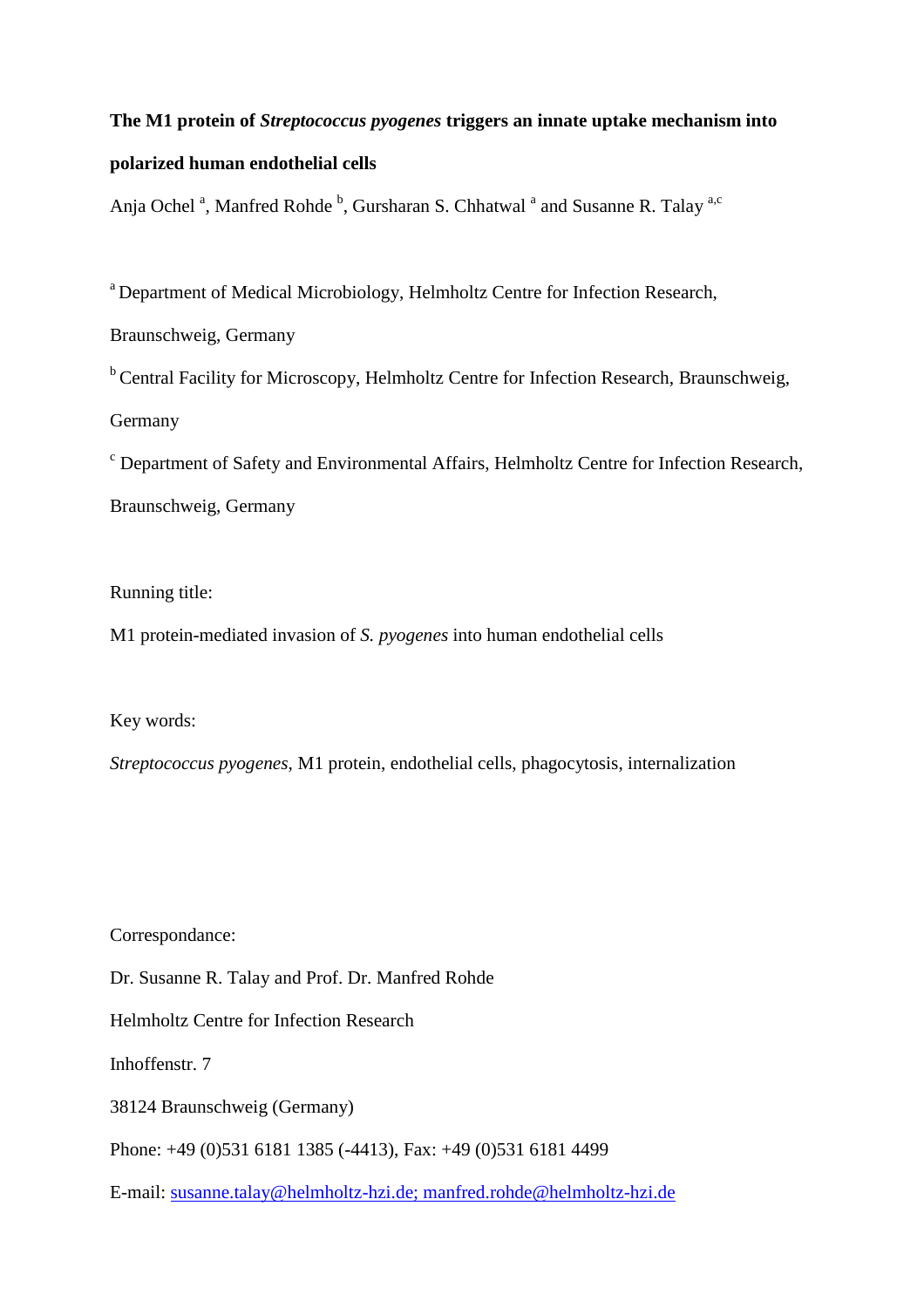# **The M1 protein of** *Streptococcus pyogenes* **triggers an innate uptake mechanism into**

# **polarized human endothelial cells**

Anja Ochel<sup>a</sup>, Manfred Rohde<sup>b</sup>, Gursharan S. Chhatwal<sup>a</sup> and Susanne R. Talay<sup>a,c</sup>

<sup>a</sup> Department of Medical Microbiology, Helmholtz Centre for Infection Research,

Braunschweig, Germany

<sup>b</sup> Central Facility for Microscopy, Helmholtz Centre for Infection Research, Braunschweig, Germany

<sup>c</sup> Department of Safety and Environmental Affairs, Helmholtz Centre for Infection Research, Braunschweig, Germany

Running title:

M1 protein-mediated invasion of *S. pyogenes* into human endothelial cells

Key words:

*Streptococcus pyogenes*, M1 protein, endothelial cells, phagocytosis, internalization

Correspondance:

Dr. Susanne R. Talay and Prof. Dr. Manfred Rohde

Helmholtz Centre for Infection Research

Inhoffenstr. 7

38124 Braunschweig (Germany)

Phone: +49 (0)531 6181 1385 (-4413), Fax: +49 (0)531 6181 4499

E-mail: susanne.talay@helmholtz-hzi.de; manfred.rohde@helmholtz-hzi.de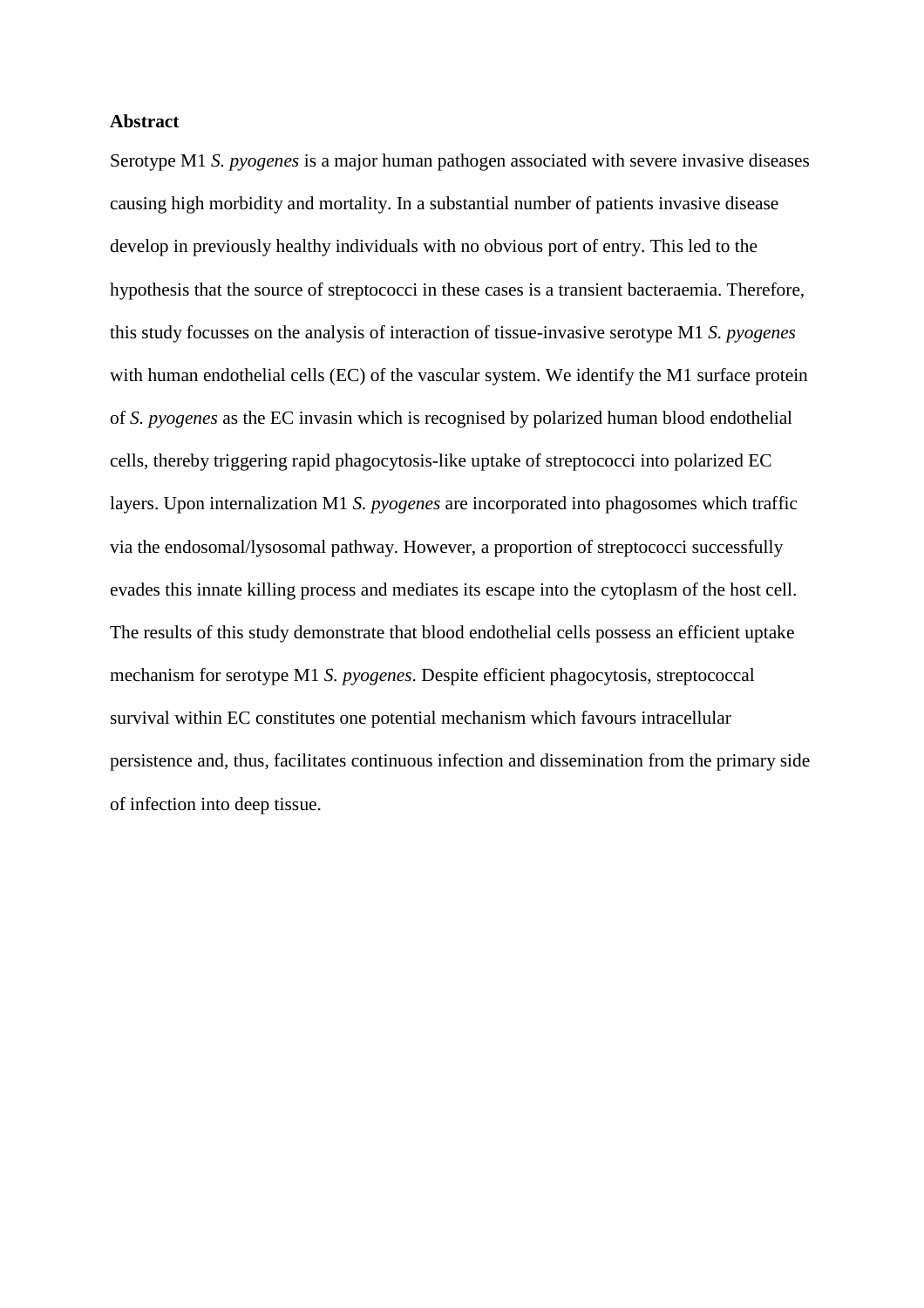# **Abstract**

Serotype M1 *S. pyogenes* is a major human pathogen associated with severe invasive diseases causing high morbidity and mortality. In a substantial number of patients invasive disease develop in previously healthy individuals with no obvious port of entry. This led to the hypothesis that the source of streptococci in these cases is a transient bacteraemia. Therefore, this study focusses on the analysis of interaction of tissue-invasive serotype M1 *S. pyogenes* with human endothelial cells (EC) of the vascular system. We identify the M1 surface protein of *S. pyogenes* as the EC invasin which is recognised by polarized human blood endothelial cells, thereby triggering rapid phagocytosis-like uptake of streptococci into polarized EC layers. Upon internalization M1 *S. pyogenes* are incorporated into phagosomes which traffic via the endosomal/lysosomal pathway. However, a proportion of streptococci successfully evades this innate killing process and mediates its escape into the cytoplasm of the host cell. The results of this study demonstrate that blood endothelial cells possess an efficient uptake mechanism for serotype M1 *S. pyogenes*. Despite efficient phagocytosis, streptococcal survival within EC constitutes one potential mechanism which favours intracellular persistence and, thus, facilitates continuous infection and dissemination from the primary side of infection into deep tissue.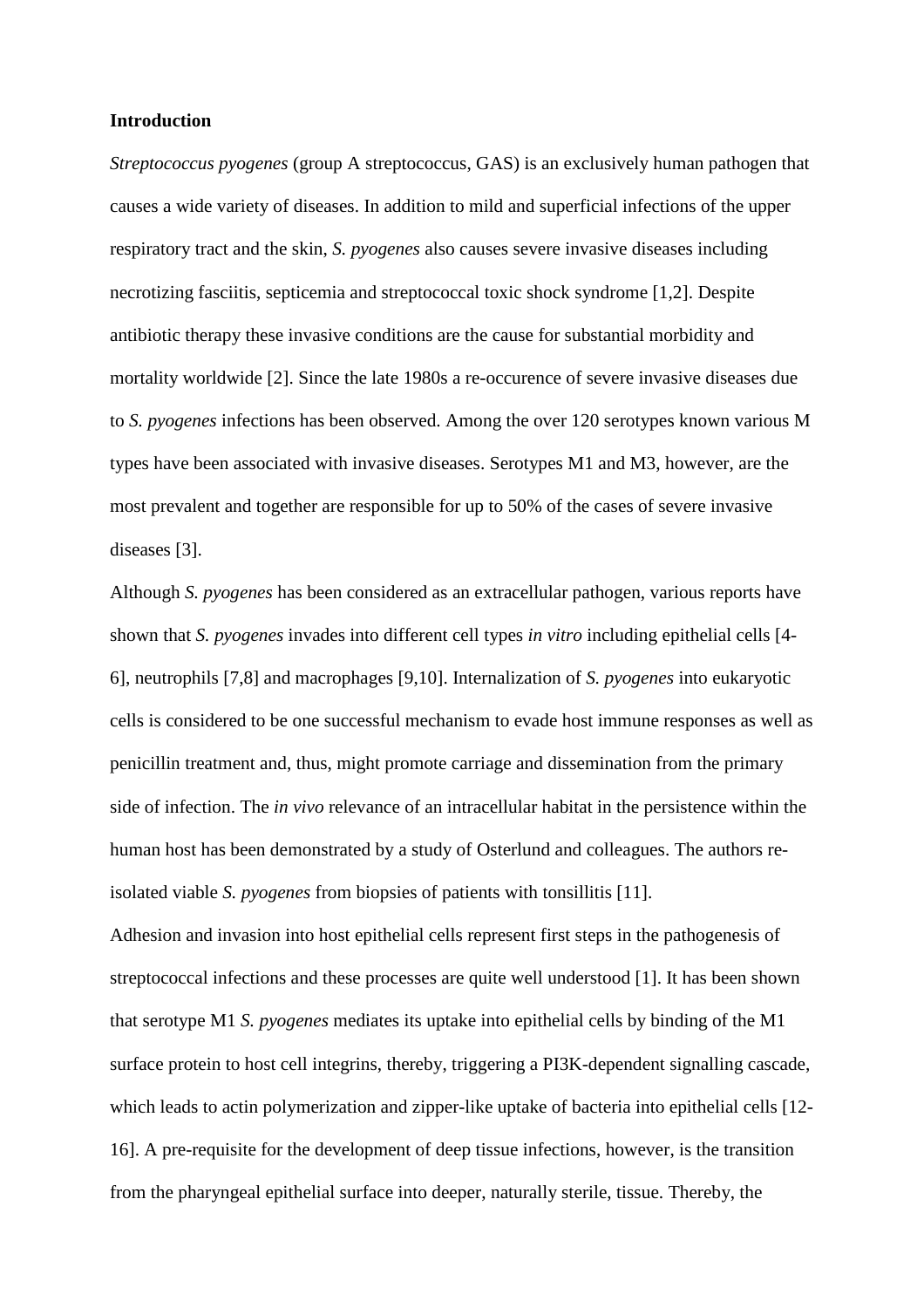# **Introduction**

*Streptococcus pyogenes* (group A streptococcus, GAS) is an exclusively human pathogen that causes a wide variety of diseases. In addition to mild and superficial infections of the upper respiratory tract and the skin, *S. pyogenes* also causes severe invasive diseases including necrotizing fasciitis, septicemia and streptococcal toxic shock syndrome [1,2]. Despite antibiotic therapy these invasive conditions are the cause for substantial morbidity and mortality worldwide [2]. Since the late 1980s a re-occurence of severe invasive diseases due to *S. pyogenes* infections has been observed. Among the over 120 serotypes known various M types have been associated with invasive diseases. Serotypes M1 and M3, however, are the most prevalent and together are responsible for up to 50% of the cases of severe invasive diseases [3].

Although *S. pyogenes* has been considered as an extracellular pathogen, various reports have shown that *S. pyogenes* invades into different cell types *in vitro* including epithelial cells [4- 6], neutrophils [7,8] and macrophages [9,10]. Internalization of *S. pyogenes* into eukaryotic cells is considered to be one successful mechanism to evade host immune responses as well as penicillin treatment and, thus, might promote carriage and dissemination from the primary side of infection. The *in vivo* relevance of an intracellular habitat in the persistence within the human host has been demonstrated by a study of Osterlund and colleagues. The authors reisolated viable *S. pyogenes* from biopsies of patients with tonsillitis [11].

Adhesion and invasion into host epithelial cells represent first steps in the pathogenesis of streptococcal infections and these processes are quite well understood [1]. It has been shown that serotype M1 *S. pyogenes* mediates its uptake into epithelial cells by binding of the M1 surface protein to host cell integrins, thereby, triggering a PI3K-dependent signalling cascade, which leads to actin polymerization and zipper-like uptake of bacteria into epithelial cells [12- 16]. A pre-requisite for the development of deep tissue infections, however, is the transition from the pharyngeal epithelial surface into deeper, naturally sterile, tissue. Thereby, the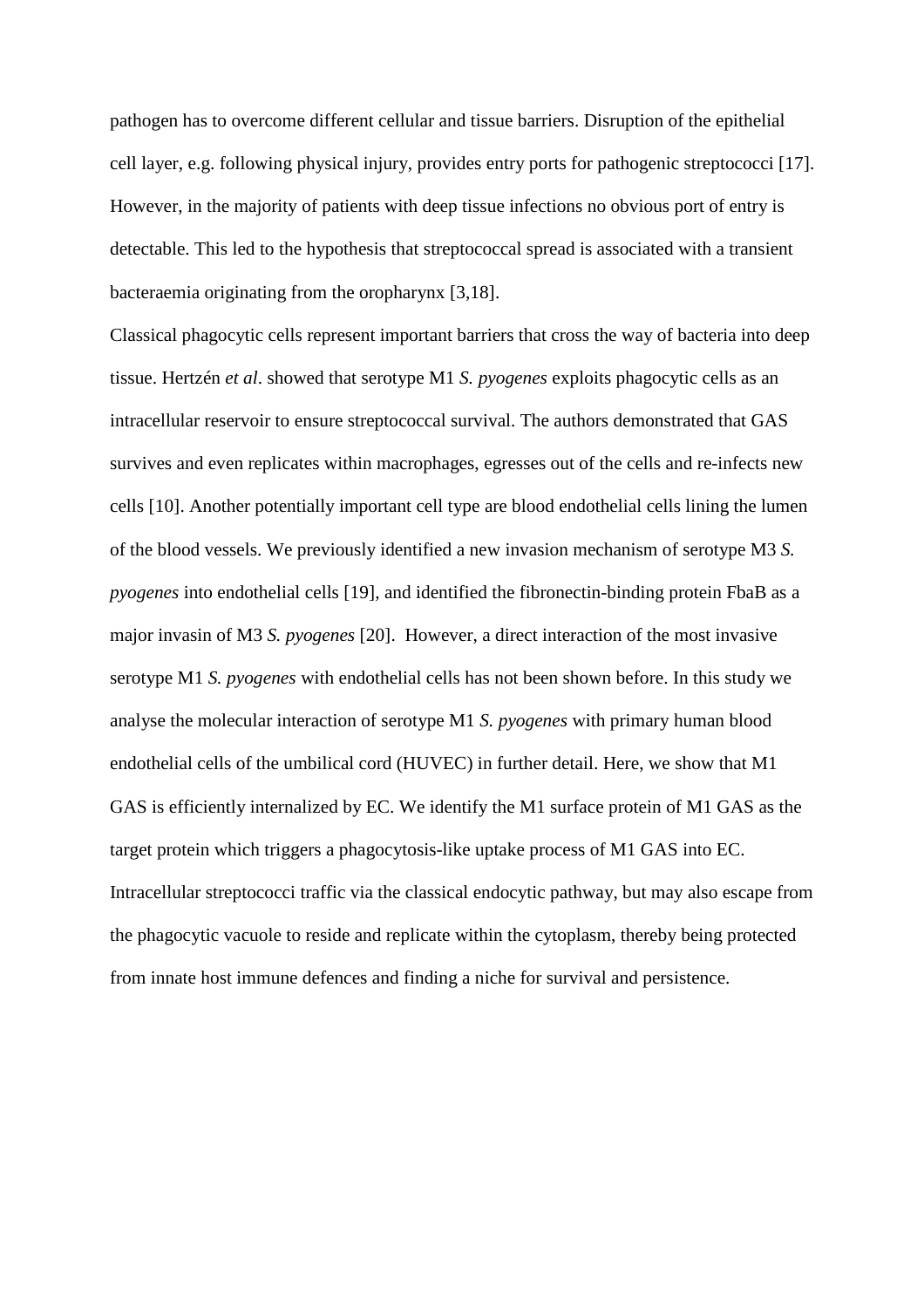pathogen has to overcome different cellular and tissue barriers. Disruption of the epithelial cell layer, e.g. following physical injury, provides entry ports for pathogenic streptococci [17]. However, in the majority of patients with deep tissue infections no obvious port of entry is detectable. This led to the hypothesis that streptococcal spread is associated with a transient bacteraemia originating from the oropharynx [3,18].

Classical phagocytic cells represent important barriers that cross the way of bacteria into deep tissue. Hertzén *et al*. showed that serotype M1 *S. pyogenes* exploits phagocytic cells as an intracellular reservoir to ensure streptococcal survival. The authors demonstrated that GAS survives and even replicates within macrophages, egresses out of the cells and re-infects new cells [10]. Another potentially important cell type are blood endothelial cells lining the lumen of the blood vessels. We previously identified a new invasion mechanism of serotype M3 *S. pyogenes* into endothelial cells [19], and identified the fibronectin-binding protein FbaB as a major invasin of M3 *S. pyogenes* [20]. However, a direct interaction of the most invasive serotype M1 *S. pyogenes* with endothelial cells has not been shown before. In this study we analyse the molecular interaction of serotype M1 *S. pyogenes* with primary human blood endothelial cells of the umbilical cord (HUVEC) in further detail. Here, we show that M1 GAS is efficiently internalized by EC. We identify the M1 surface protein of M1 GAS as the target protein which triggers a phagocytosis-like uptake process of M1 GAS into EC. Intracellular streptococci traffic via the classical endocytic pathway, but may also escape from the phagocytic vacuole to reside and replicate within the cytoplasm, thereby being protected from innate host immune defences and finding a niche for survival and persistence.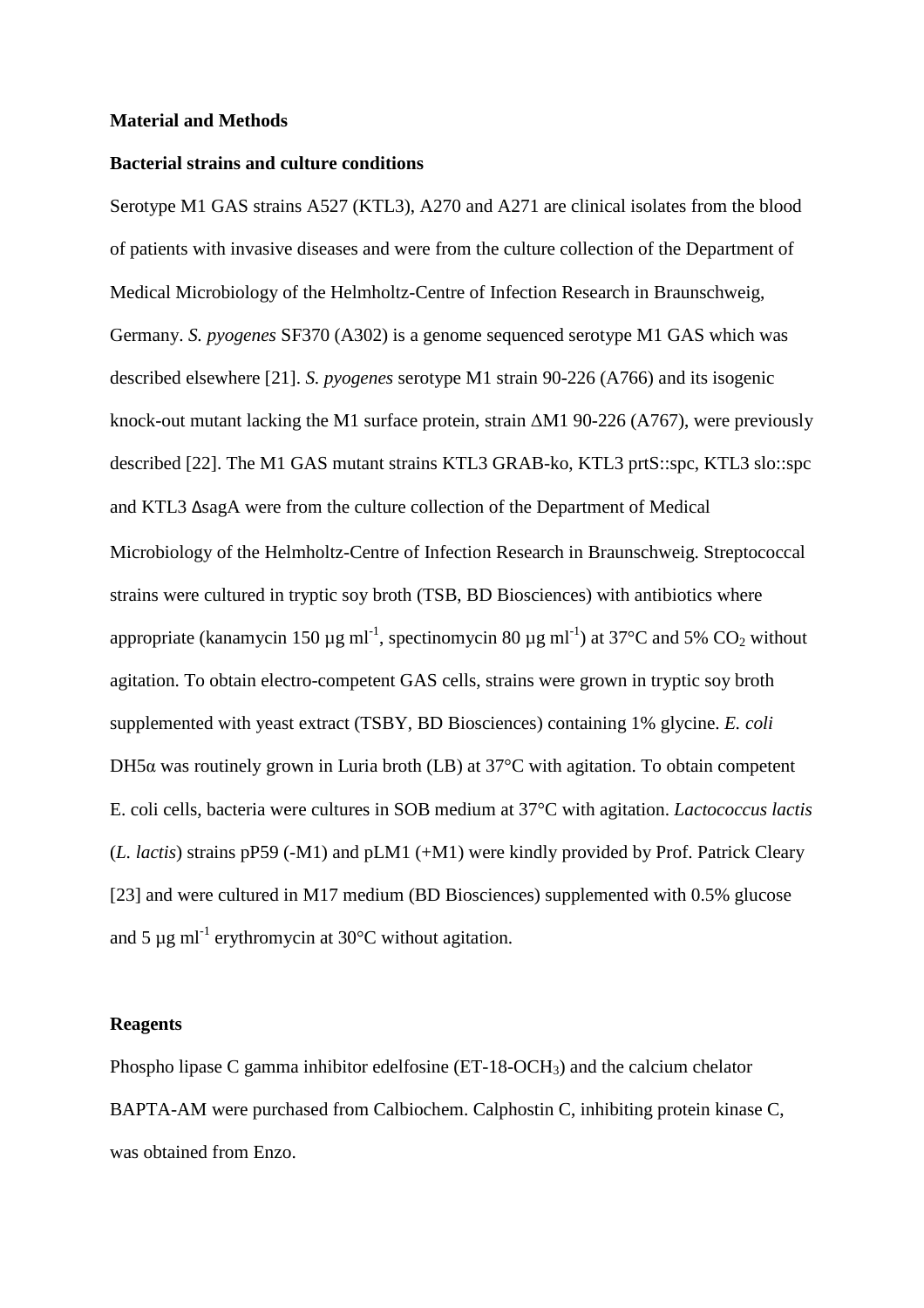# **Material and Methods**

# **Bacterial strains and culture conditions**

Serotype M1 GAS strains A527 (KTL3), A270 and A271 are clinical isolates from the blood of patients with invasive diseases and were from the culture collection of the Department of Medical Microbiology of the Helmholtz-Centre of Infection Research in Braunschweig, Germany. *S. pyogenes* SF370 (A302) is a genome sequenced serotype M1 GAS which was described elsewhere [21]. *S. pyogenes* serotype M1 strain 90-226 (A766) and its isogenic knock-out mutant lacking the M1 surface protein, strain ∆M1 90-226 (A767), were previously described [22]. The M1 GAS mutant strains KTL3 GRAB-ko, KTL3 prtS::spc, KTL3 slo::spc and KTL3 ΔsagA were from the culture collection of the Department of Medical Microbiology of the Helmholtz-Centre of Infection Research in Braunschweig. Streptococcal strains were cultured in tryptic soy broth (TSB, BD Biosciences) with antibiotics where appropriate (kanamycin 150  $\mu$ g ml<sup>-1</sup>, spectinomycin 80  $\mu$ g ml<sup>-1</sup>) at 37°C and 5% CO<sub>2</sub> without agitation. To obtain electro-competent GAS cells, strains were grown in tryptic soy broth supplemented with yeast extract (TSBY, BD Biosciences) containing 1% glycine. *E. coli* DH5 $\alpha$  was routinely grown in Luria broth (LB) at 37 $\degree$ C with agitation. To obtain competent E. coli cells, bacteria were cultures in SOB medium at 37°C with agitation. *Lactococcus lactis* (*L. lactis*) strains pP59 (-M1) and pLM1 (+M1) were kindly provided by Prof. Patrick Cleary [23] and were cultured in M17 medium (BD Biosciences) supplemented with 0.5% glucose and 5  $\mu$ g ml<sup>-1</sup> erythromycin at 30 $\degree$ C without agitation.

### **Reagents**

Phospho lipase C gamma inhibitor edelfosine (ET-18-OCH3) and the calcium chelator BAPTA-AM were purchased from Calbiochem. Calphostin C, inhibiting protein kinase C, was obtained from Enzo.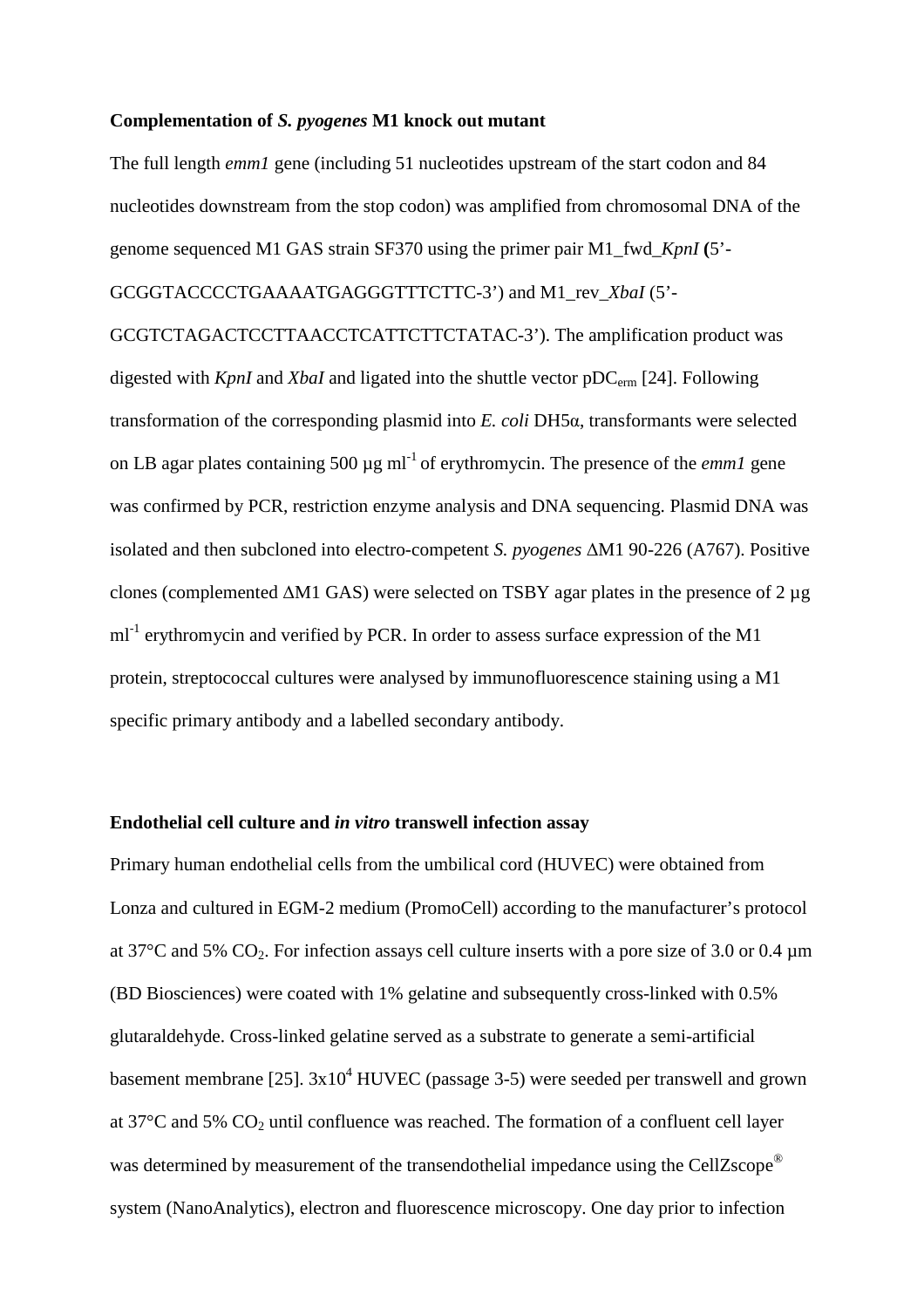#### **Complementation of** *S. pyogenes* **M1 knock out mutant**

The full length *emm1* gene (including 51 nucleotides upstream of the start codon and 84 nucleotides downstream from the stop codon) was amplified from chromosomal DNA of the genome sequenced M1 GAS strain SF370 using the primer pair M1\_fwd\_*KpnI* **(**5'- GCGGTACCCCTGAAAATGAGGGTTTCTTC-3') and M1\_rev\_*XbaI* (5'- GCGTCTAGACTCCTTAACCTCATTCTTCTATAC-3'). The amplification product was

digested with *KpnI* and *XbaI* and ligated into the shuttle vector pDC<sub>erm</sub> [24]. Following transformation of the corresponding plasmid into *E. coli* DH5α, transformants were selected on LB agar plates containing 500  $\mu$ g ml<sup>-1</sup> of erythromycin. The presence of the *emm1* gene was confirmed by PCR, restriction enzyme analysis and DNA sequencing. Plasmid DNA was isolated and then subcloned into electro-competent *S. pyogenes* ∆M1 90-226 (A767). Positive clones (complemented ∆M1 GAS) were selected on TSBY agar plates in the presence of 2 µg  $ml<sup>-1</sup>$  erythromycin and verified by PCR. In order to assess surface expression of the M1 protein, streptococcal cultures were analysed by immunofluorescence staining using a M1 specific primary antibody and a labelled secondary antibody.

# **Endothelial cell culture and** *in vitro* **transwell infection assay**

Primary human endothelial cells from the umbilical cord (HUVEC) were obtained from Lonza and cultured in EGM-2 medium (PromoCell) according to the manufacturer's protocol at 37 $^{\circ}$ C and 5% CO<sub>2</sub>. For infection assays cell culture inserts with a pore size of 3.0 or 0.4  $\mu$ m (BD Biosciences) were coated with 1% gelatine and subsequently cross-linked with 0.5% glutaraldehyde. Cross-linked gelatine served as a substrate to generate a semi-artificial basement membrane [25].  $3x10^4$  HUVEC (passage 3-5) were seeded per transwell and grown at  $37^{\circ}$ C and  $5\%$  CO<sub>2</sub> until confluence was reached. The formation of a confluent cell layer was determined by measurement of the transendothelial impedance using the CellZscope<sup>®</sup> system (NanoAnalytics), electron and fluorescence microscopy. One day prior to infection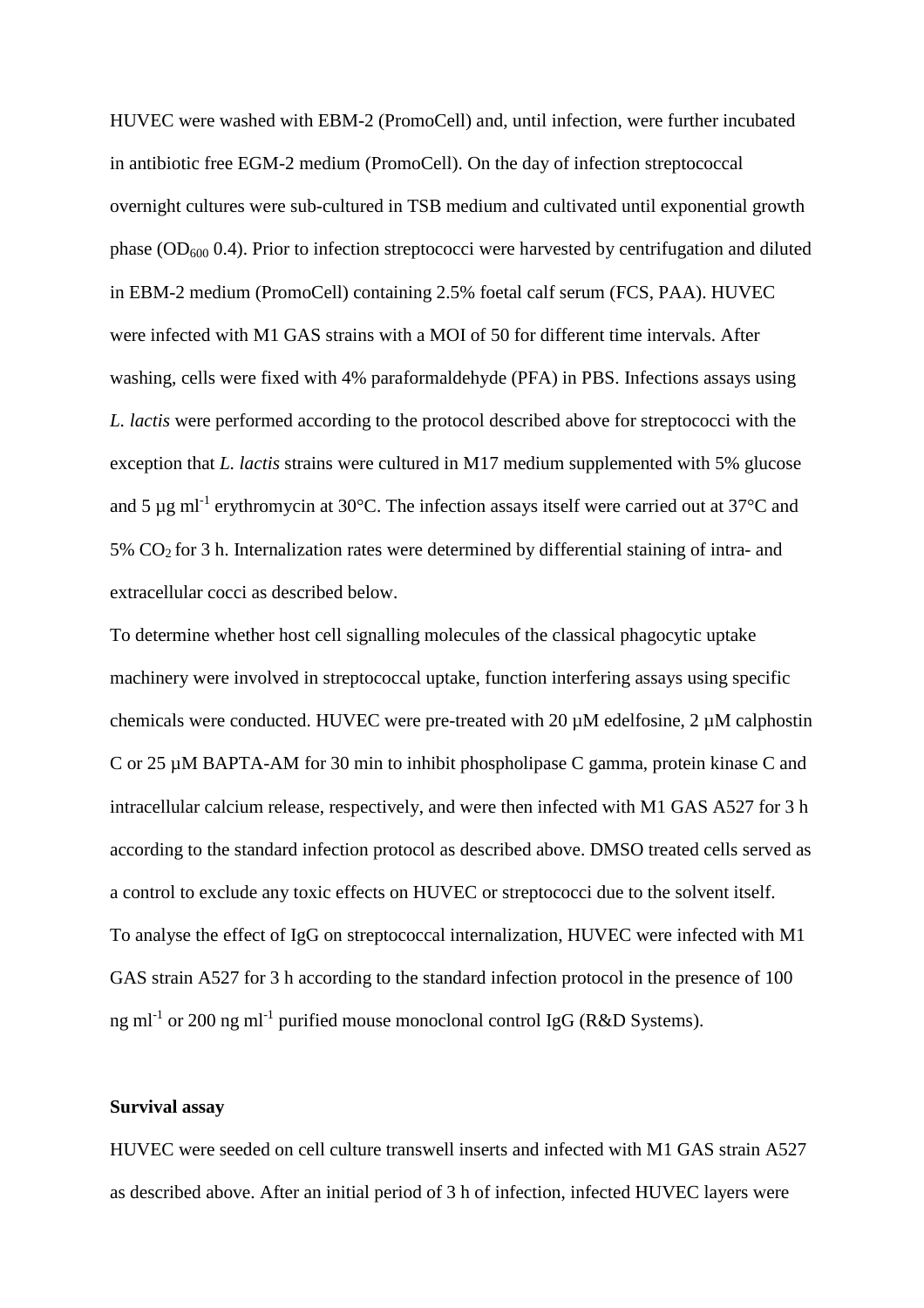HUVEC were washed with EBM-2 (PromoCell) and, until infection, were further incubated in antibiotic free EGM-2 medium (PromoCell). On the day of infection streptococcal overnight cultures were sub-cultured in TSB medium and cultivated until exponential growth phase ( $OD<sub>600</sub> 0.4$ ). Prior to infection streptococci were harvested by centrifugation and diluted in EBM-2 medium (PromoCell) containing 2.5% foetal calf serum (FCS, PAA). HUVEC were infected with M1 GAS strains with a MOI of 50 for different time intervals. After washing, cells were fixed with 4% paraformaldehyde (PFA) in PBS. Infections assays using *L. lactis* were performed according to the protocol described above for streptococci with the exception that *L. lactis* strains were cultured in M17 medium supplemented with 5% glucose and 5  $\mu$ g ml<sup>-1</sup> erythromycin at 30°C. The infection assays itself were carried out at 37°C and  $5\%$  CO<sub>2</sub> for 3 h. Internalization rates were determined by differential staining of intra- and extracellular cocci as described below.

To determine whether host cell signalling molecules of the classical phagocytic uptake machinery were involved in streptococcal uptake, function interfering assays using specific chemicals were conducted. HUVEC were pre-treated with 20  $\mu$ M edelfosine, 2  $\mu$ M calphostin C or 25 µM BAPTA-AM for 30 min to inhibit phospholipase C gamma, protein kinase C and intracellular calcium release, respectively, and were then infected with M1 GAS A527 for 3 h according to the standard infection protocol as described above. DMSO treated cells served as a control to exclude any toxic effects on HUVEC or streptococci due to the solvent itself. To analyse the effect of IgG on streptococcal internalization, HUVEC were infected with M1 GAS strain A527 for 3 h according to the standard infection protocol in the presence of 100 ng ml<sup>-1</sup> or 200 ng ml<sup>-1</sup> purified mouse monoclonal control IgG (R&D Systems).

#### **Survival assay**

HUVEC were seeded on cell culture transwell inserts and infected with M1 GAS strain A527 as described above. After an initial period of 3 h of infection, infected HUVEC layers were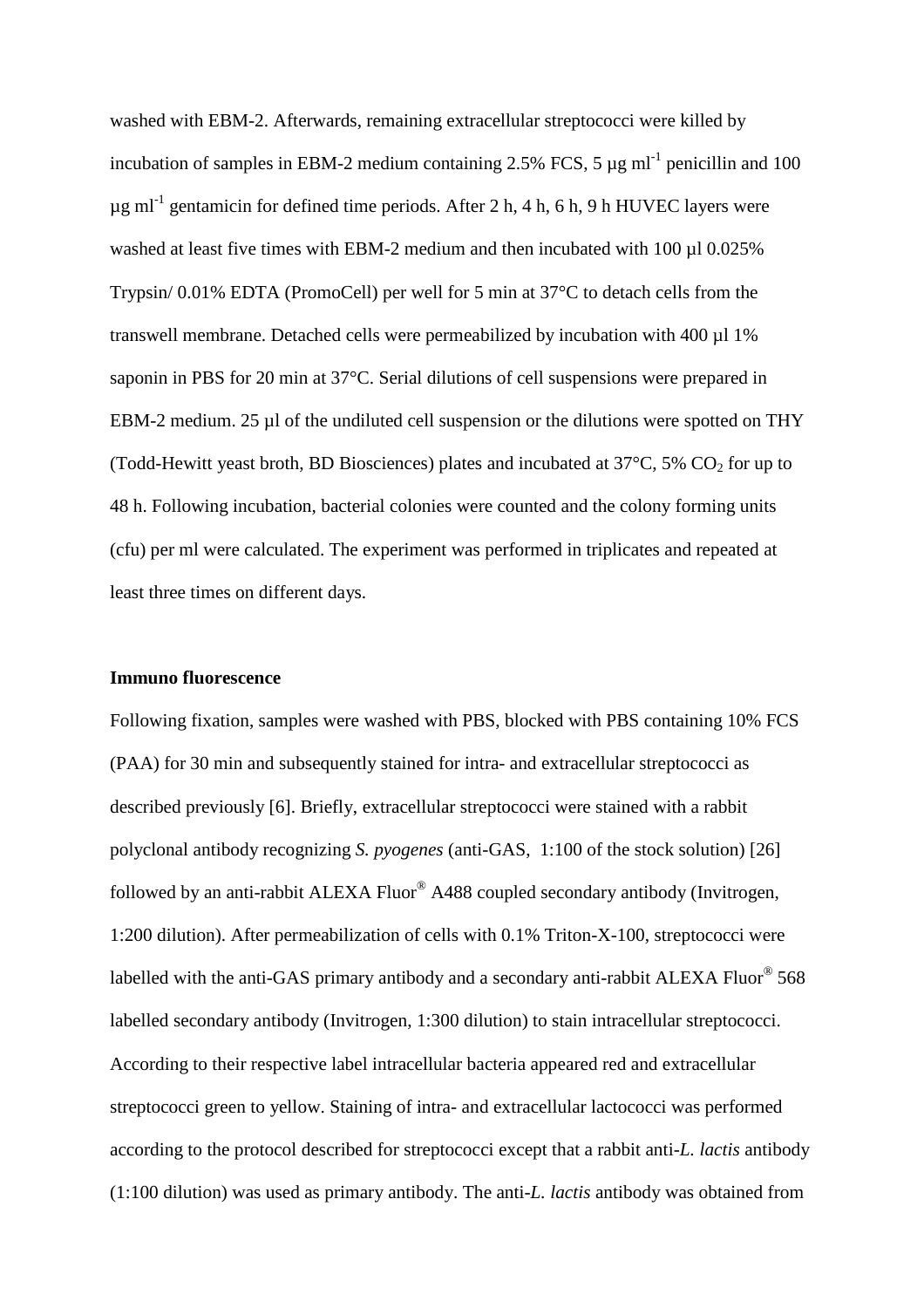washed with EBM-2. Afterwards, remaining extracellular streptococci were killed by incubation of samples in EBM-2 medium containing 2.5% FCS, 5  $\mu$ g ml<sup>-1</sup> penicillin and 100  $\mu$ g ml<sup>-1</sup> gentamicin for defined time periods. After 2 h, 4 h, 6 h, 9 h HUVEC layers were washed at least five times with EBM-2 medium and then incubated with 100 ul 0.025% Trypsin/ 0.01% EDTA (PromoCell) per well for 5 min at 37°C to detach cells from the transwell membrane. Detached cells were permeabilized by incubation with 400 µl 1% saponin in PBS for 20 min at 37°C. Serial dilutions of cell suspensions were prepared in EBM-2 medium. 25 µl of the undiluted cell suspension or the dilutions were spotted on THY (Todd-Hewitt yeast broth, BD Biosciences) plates and incubated at  $37^{\circ}$ C, 5% CO<sub>2</sub> for up to 48 h. Following incubation, bacterial colonies were counted and the colony forming units (cfu) per ml were calculated. The experiment was performed in triplicates and repeated at least three times on different days.

# **Immuno fluorescence**

Following fixation, samples were washed with PBS, blocked with PBS containing 10% FCS (PAA) for 30 min and subsequently stained for intra- and extracellular streptococci as described previously [6]. Briefly, extracellular streptococci were stained with a rabbit polyclonal antibody recognizing *S. pyogenes* (anti-GAS, 1:100 of the stock solution) [26] followed by an anti-rabbit ALEXA Fluor® A488 coupled secondary antibody (Invitrogen, 1:200 dilution). After permeabilization of cells with 0.1% Triton-X-100, streptococci were labelled with the anti-GAS primary antibody and a secondary anti-rabbit ALEXA Fluor® 568 labelled secondary antibody (Invitrogen, 1:300 dilution) to stain intracellular streptococci. According to their respective label intracellular bacteria appeared red and extracellular streptococci green to yellow. Staining of intra- and extracellular lactococci was performed according to the protocol described for streptococci except that a rabbit anti-*L. lactis* antibody (1:100 dilution) was used as primary antibody. The anti-*L. lactis* antibody was obtained from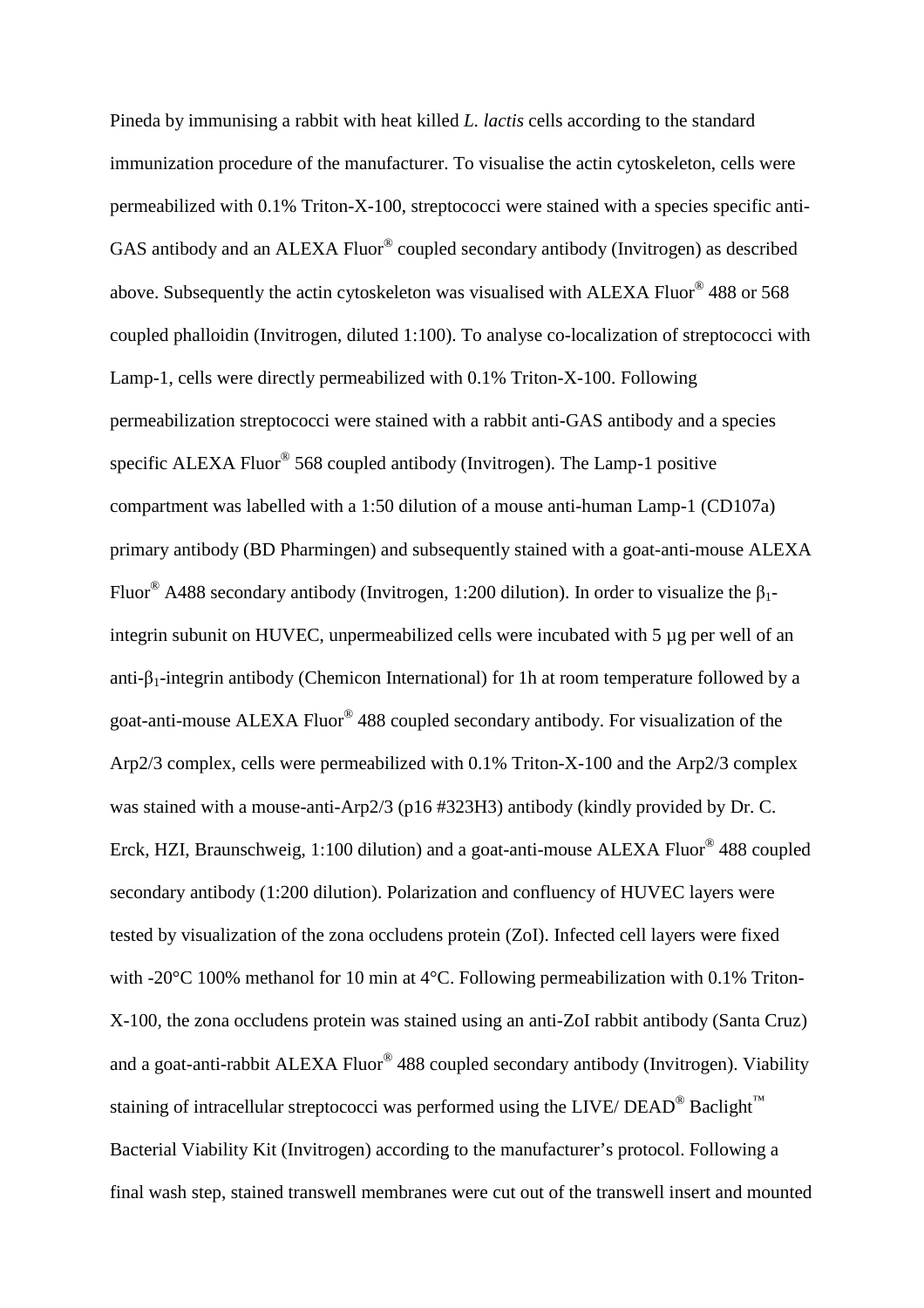Pineda by immunising a rabbit with heat killed *L. lactis* cells according to the standard immunization procedure of the manufacturer. To visualise the actin cytoskeleton, cells were permeabilized with 0.1% Triton-X-100, streptococci were stained with a species specific anti-GAS antibody and an ALEXA Fluor® coupled secondary antibody (Invitrogen) as described above. Subsequently the actin cytoskeleton was visualised with ALEXA Fluor<sup>®</sup> 488 or 568 coupled phalloidin (Invitrogen, diluted 1:100). To analyse co-localization of streptococci with Lamp-1, cells were directly permeabilized with 0.1% Triton-X-100. Following permeabilization streptococci were stained with a rabbit anti-GAS antibody and a species specific ALEXA Fluor<sup>®</sup> 568 coupled antibody (Invitrogen). The Lamp-1 positive compartment was labelled with a 1:50 dilution of a mouse anti-human Lamp-1 (CD107a) primary antibody (BD Pharmingen) and subsequently stained with a goat-anti-mouse ALEXA Fluor<sup>®</sup> A488 secondary antibody (Invitrogen, 1:200 dilution). In order to visualize the  $\beta_1$ integrin subunit on HUVEC, unpermeabilized cells were incubated with 5 µg per well of an anti- $\beta_1$ -integrin antibody (Chemicon International) for 1h at room temperature followed by a goat-anti-mouse ALEXA Fluor® 488 coupled secondary antibody. For visualization of the Arp2/3 complex, cells were permeabilized with 0.1% Triton-X-100 and the Arp2/3 complex was stained with a mouse-anti-Arp2/3 (p16 #323H3) antibody (kindly provided by Dr. C. Erck, HZI, Braunschweig, 1:100 dilution) and a goat-anti-mouse ALEXA Fluor® 488 coupled secondary antibody (1:200 dilution). Polarization and confluency of HUVEC layers were tested by visualization of the zona occludens protein (ZoI). Infected cell layers were fixed with -20°C 100% methanol for 10 min at 4°C. Following permeabilization with 0.1% Triton-X-100, the zona occludens protein was stained using an anti-ZoI rabbit antibody (Santa Cruz) and a goat-anti-rabbit ALEXA Fluor® 488 coupled secondary antibody (Invitrogen). Viability staining of intracellular streptococci was performed using the LIVE/  $DEAD^@$  Baclight<sup>™</sup> Bacterial Viability Kit (Invitrogen) according to the manufacturer's protocol. Following a final wash step, stained transwell membranes were cut out of the transwell insert and mounted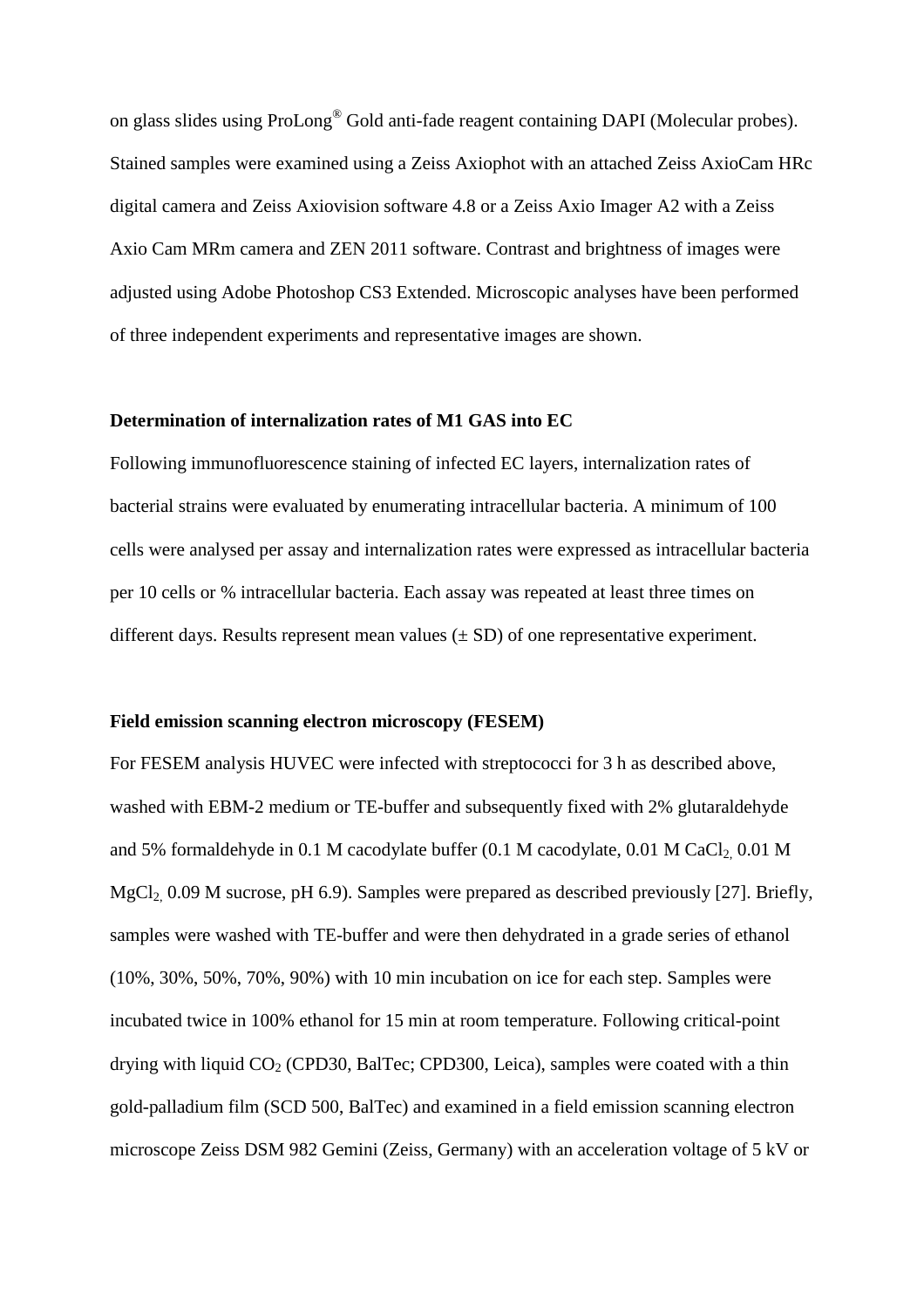on glass slides using ProLong® Gold anti-fade reagent containing DAPI (Molecular probes). Stained samples were examined using a Zeiss Axiophot with an attached Zeiss AxioCam HRc digital camera and Zeiss Axiovision software 4.8 or a Zeiss Axio Imager A2 with a Zeiss Axio Cam MRm camera and ZEN 2011 software. Contrast and brightness of images were adjusted using Adobe Photoshop CS3 Extended. Microscopic analyses have been performed of three independent experiments and representative images are shown.

# **Determination of internalization rates of M1 GAS into EC**

Following immunofluorescence staining of infected EC layers, internalization rates of bacterial strains were evaluated by enumerating intracellular bacteria. A minimum of 100 cells were analysed per assay and internalization rates were expressed as intracellular bacteria per 10 cells or % intracellular bacteria. Each assay was repeated at least three times on different days. Results represent mean values  $(\pm SD)$  of one representative experiment.

# **Field emission scanning electron microscopy (FESEM)**

For FESEM analysis HUVEC were infected with streptococci for 3 h as described above, washed with EBM-2 medium or TE-buffer and subsequently fixed with 2% glutaraldehyde and 5% formaldehyde in  $0.1$  M cacodylate buffer  $(0.1$  M cacodylate,  $0.01$  M CaCl<sub>2</sub>,  $0.01$  M MgCl<sub>2</sub>, 0.09 M sucrose, pH 6.9). Samples were prepared as described previously [27]. Briefly, samples were washed with TE-buffer and were then dehydrated in a grade series of ethanol (10%, 30%, 50%, 70%, 90%) with 10 min incubation on ice for each step. Samples were incubated twice in 100% ethanol for 15 min at room temperature. Following critical-point drying with liquid  $CO<sub>2</sub>$  (CPD30, BalTec; CPD300, Leica), samples were coated with a thin gold-palladium film (SCD 500, BalTec) and examined in a field emission scanning electron microscope Zeiss DSM 982 Gemini (Zeiss, Germany) with an acceleration voltage of 5 kV or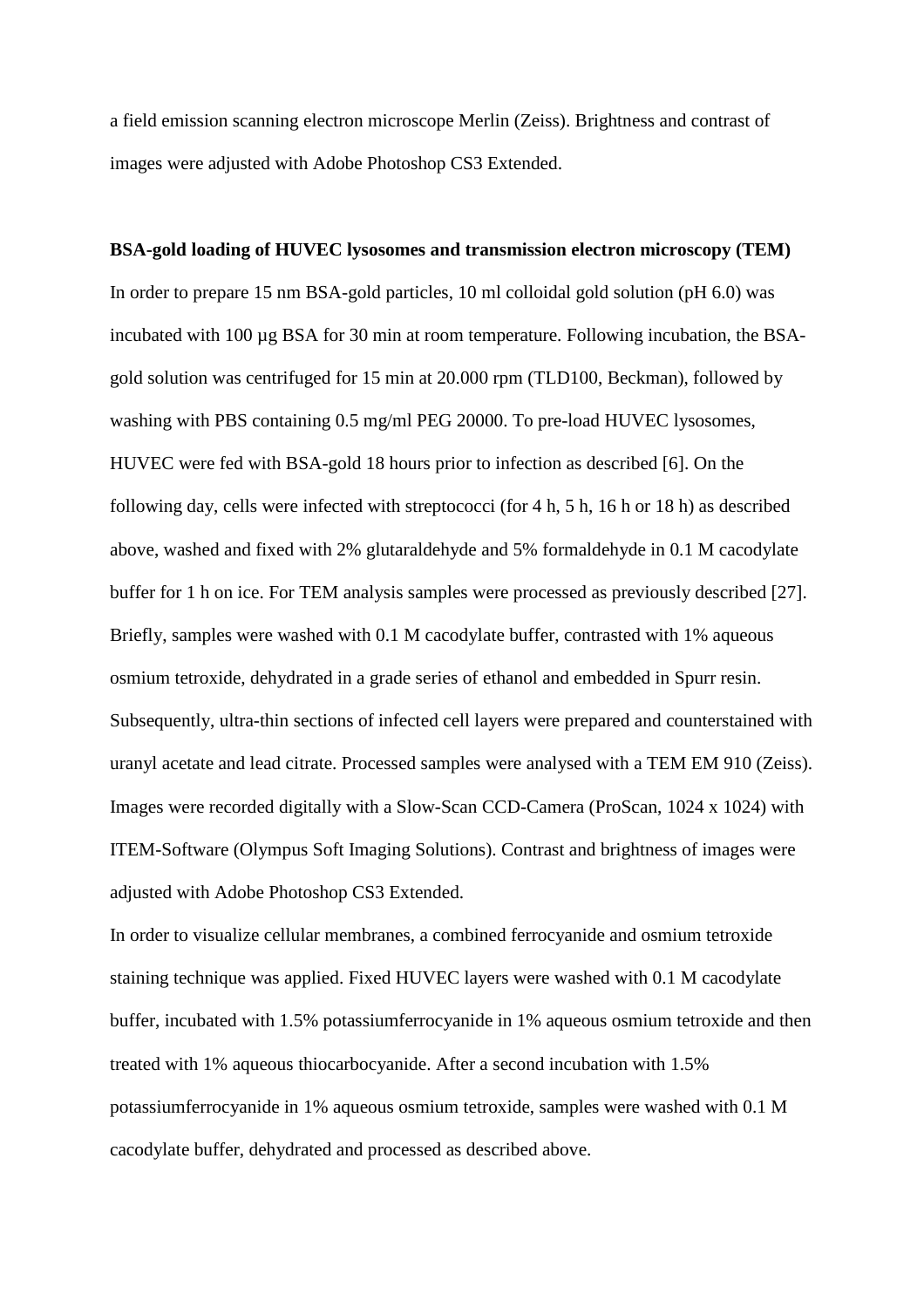a field emission scanning electron microscope Merlin (Zeiss). Brightness and contrast of images were adjusted with Adobe Photoshop CS3 Extended.

**BSA-gold loading of HUVEC lysosomes and transmission electron microscopy (TEM)**  In order to prepare 15 nm BSA-gold particles, 10 ml colloidal gold solution (pH 6.0) was incubated with 100 µg BSA for 30 min at room temperature. Following incubation, the BSAgold solution was centrifuged for 15 min at 20.000 rpm (TLD100, Beckman), followed by washing with PBS containing 0.5 mg/ml PEG 20000. To pre-load HUVEC lysosomes, HUVEC were fed with BSA-gold 18 hours prior to infection as described [6]. On the following day, cells were infected with streptococci (for 4 h, 5 h, 16 h or 18 h) as described above, washed and fixed with 2% glutaraldehyde and 5% formaldehyde in 0.1 M cacodylate buffer for 1 h on ice. For TEM analysis samples were processed as previously described [27]. Briefly, samples were washed with 0.1 M cacodylate buffer, contrasted with 1% aqueous osmium tetroxide, dehydrated in a grade series of ethanol and embedded in Spurr resin. Subsequently, ultra-thin sections of infected cell layers were prepared and counterstained with uranyl acetate and lead citrate. Processed samples were analysed with a TEM EM 910 (Zeiss). Images were recorded digitally with a Slow-Scan CCD-Camera (ProScan, 1024 x 1024) with ITEM-Software (Olympus Soft Imaging Solutions). Contrast and brightness of images were adjusted with Adobe Photoshop CS3 Extended.

In order to visualize cellular membranes, a combined ferrocyanide and osmium tetroxide staining technique was applied. Fixed HUVEC layers were washed with 0.1 M cacodylate buffer, incubated with 1.5% potassiumferrocyanide in 1% aqueous osmium tetroxide and then treated with 1% aqueous thiocarbocyanide. After a second incubation with 1.5% potassiumferrocyanide in 1% aqueous osmium tetroxide, samples were washed with 0.1 M cacodylate buffer, dehydrated and processed as described above.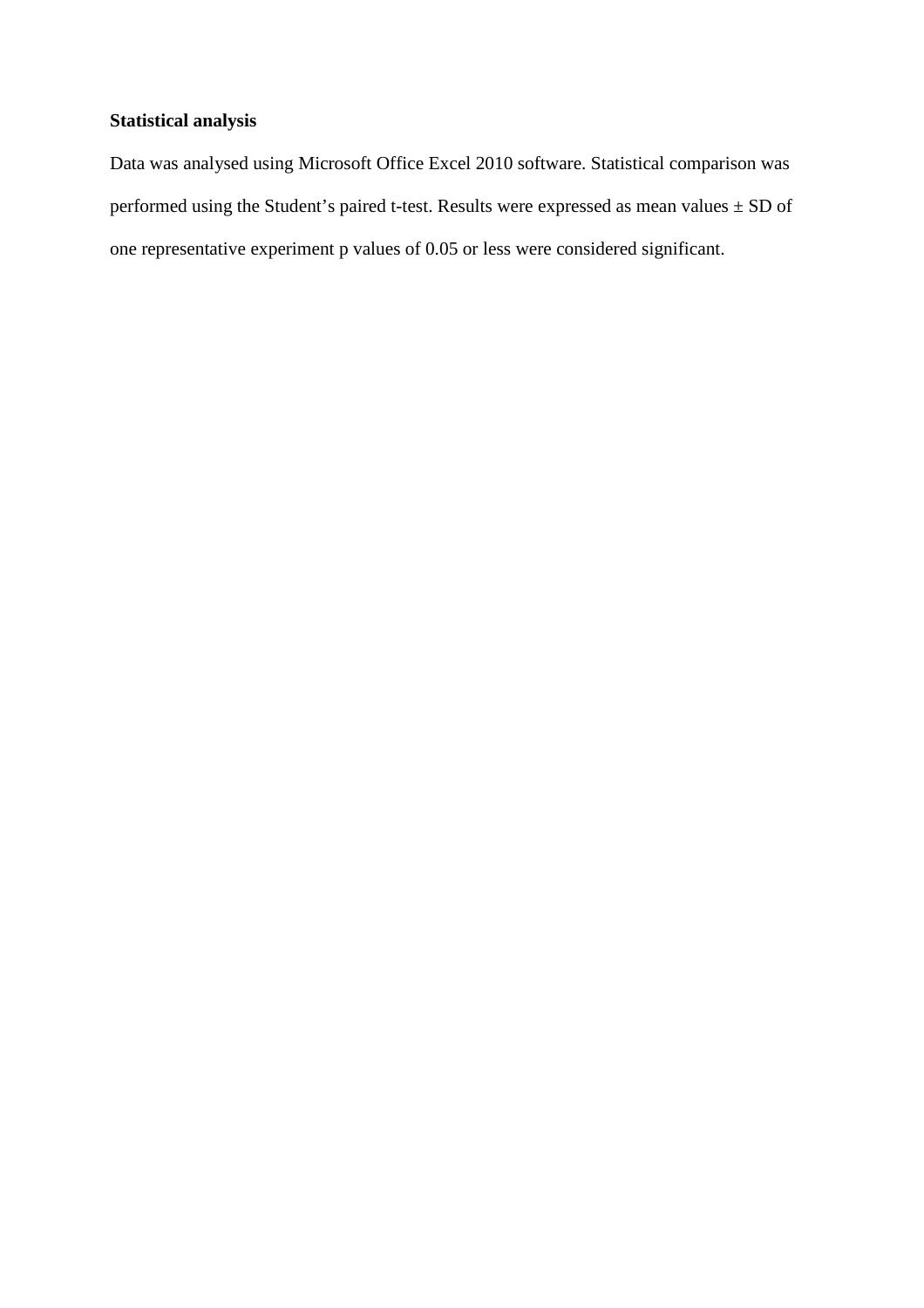# **Statistical analysis**

Data was analysed using Microsoft Office Excel 2010 software. Statistical comparison was performed using the Student's paired t-test. Results were expressed as mean values  $\pm$  SD of one representative experiment p values of 0.05 or less were considered significant.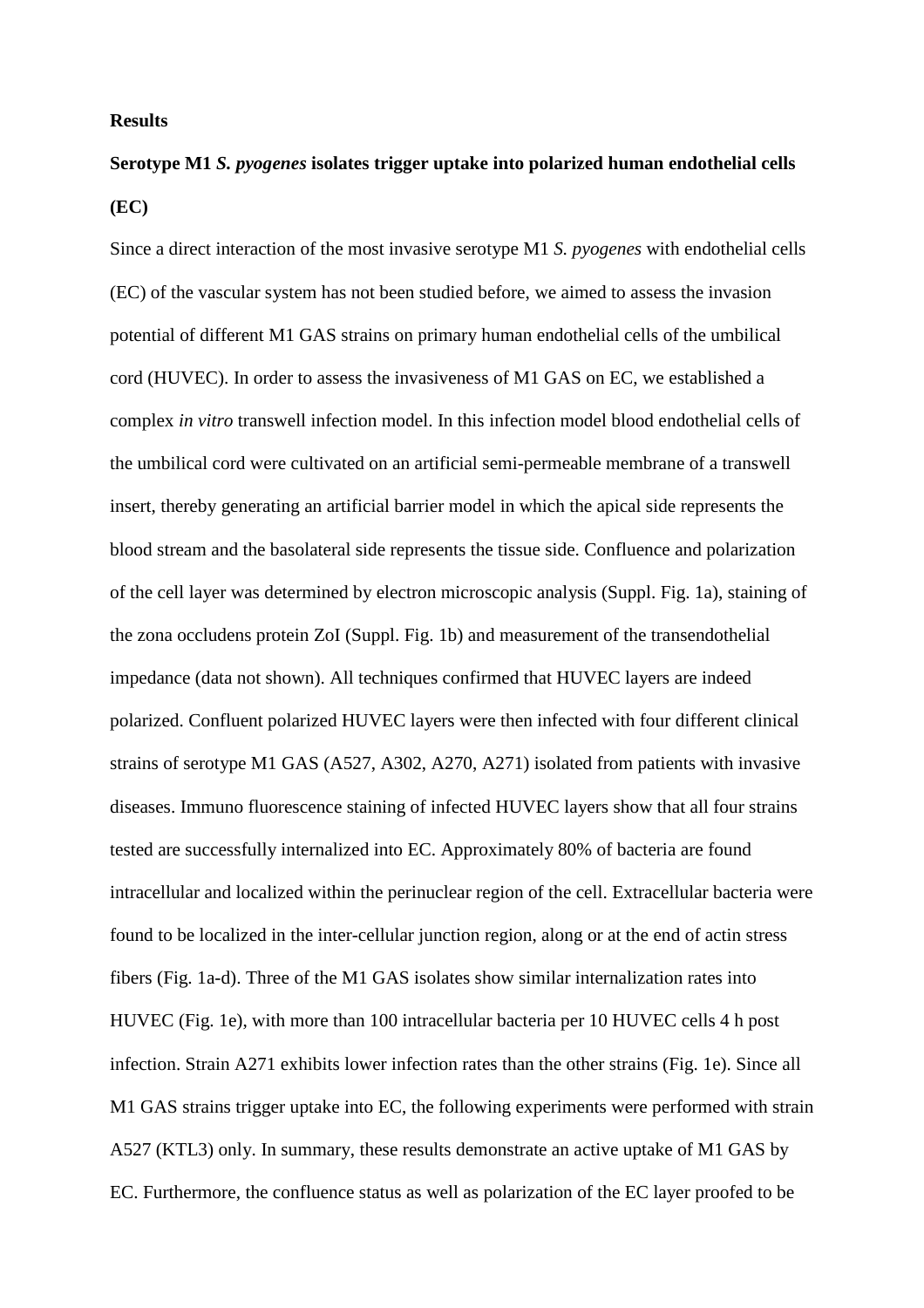### **Results**

# **Serotype M1** *S. pyogenes* **isolates trigger uptake into polarized human endothelial cells (EC)**

Since a direct interaction of the most invasive serotype M1 *S. pyogenes* with endothelial cells (EC) of the vascular system has not been studied before, we aimed to assess the invasion potential of different M1 GAS strains on primary human endothelial cells of the umbilical cord (HUVEC). In order to assess the invasiveness of M1 GAS on EC, we established a complex *in vitro* transwell infection model. In this infection model blood endothelial cells of the umbilical cord were cultivated on an artificial semi-permeable membrane of a transwell insert, thereby generating an artificial barrier model in which the apical side represents the blood stream and the basolateral side represents the tissue side. Confluence and polarization of the cell layer was determined by electron microscopic analysis (Suppl. Fig. 1a), staining of the zona occludens protein ZoI (Suppl. Fig. 1b) and measurement of the transendothelial impedance (data not shown). All techniques confirmed that HUVEC layers are indeed polarized. Confluent polarized HUVEC layers were then infected with four different clinical strains of serotype M1 GAS (A527, A302, A270, A271) isolated from patients with invasive diseases. Immuno fluorescence staining of infected HUVEC layers show that all four strains tested are successfully internalized into EC. Approximately 80% of bacteria are found intracellular and localized within the perinuclear region of the cell. Extracellular bacteria were found to be localized in the inter-cellular junction region, along or at the end of actin stress fibers (Fig. 1a-d). Three of the M1 GAS isolates show similar internalization rates into HUVEC (Fig. 1e), with more than 100 intracellular bacteria per 10 HUVEC cells 4 h post infection. Strain A271 exhibits lower infection rates than the other strains (Fig. 1e). Since all M1 GAS strains trigger uptake into EC, the following experiments were performed with strain A527 (KTL3) only. In summary, these results demonstrate an active uptake of M1 GAS by EC. Furthermore, the confluence status as well as polarization of the EC layer proofed to be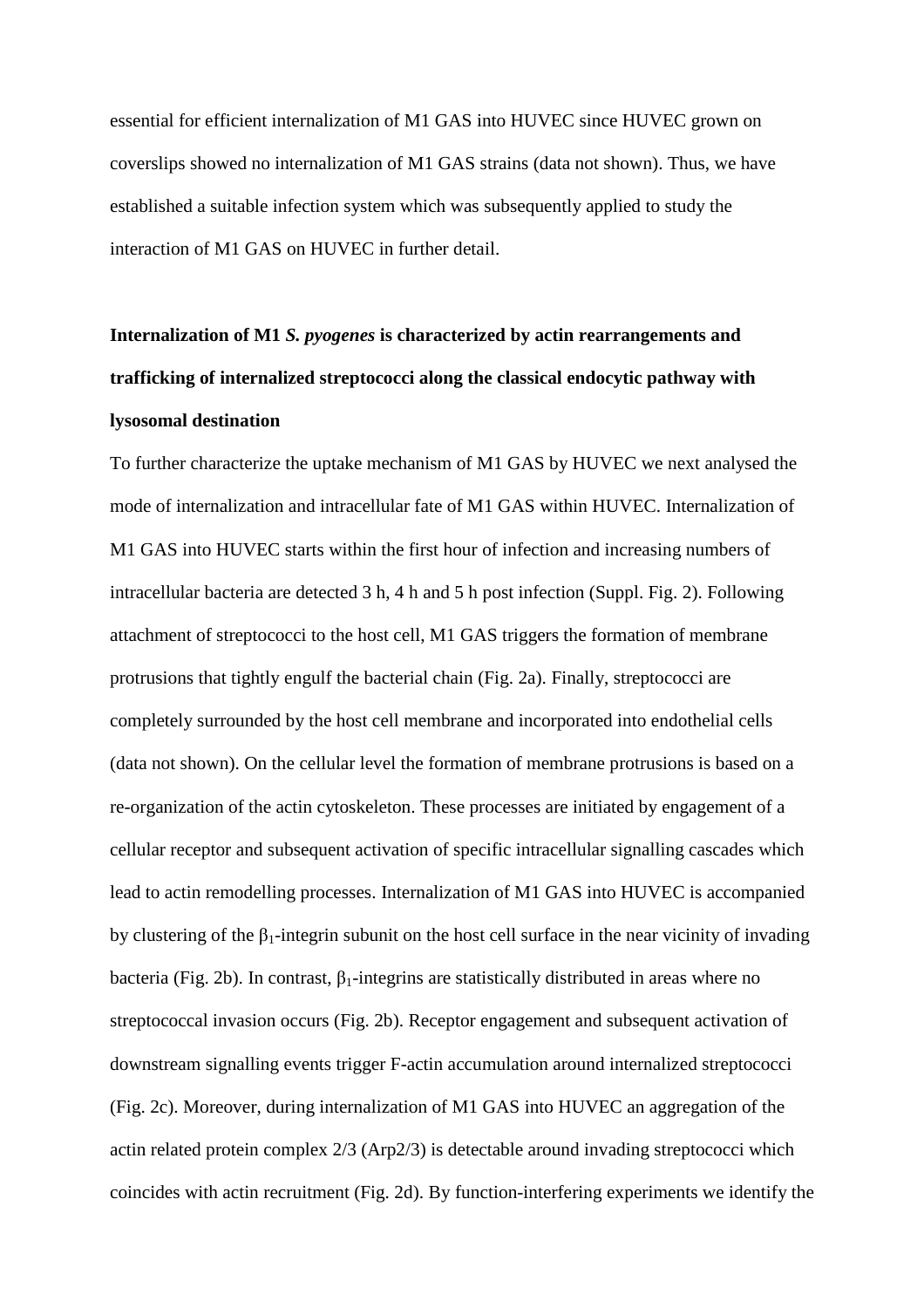essential for efficient internalization of M1 GAS into HUVEC since HUVEC grown on coverslips showed no internalization of M1 GAS strains (data not shown). Thus, we have established a suitable infection system which was subsequently applied to study the interaction of M1 GAS on HUVEC in further detail.

# **Internalization of M1** *S. pyogenes* **is characterized by actin rearrangements and trafficking of internalized streptococci along the classical endocytic pathway with lysosomal destination**

To further characterize the uptake mechanism of M1 GAS by HUVEC we next analysed the mode of internalization and intracellular fate of M1 GAS within HUVEC. Internalization of M1 GAS into HUVEC starts within the first hour of infection and increasing numbers of intracellular bacteria are detected 3 h, 4 h and 5 h post infection (Suppl. Fig. 2). Following attachment of streptococci to the host cell, M1 GAS triggers the formation of membrane protrusions that tightly engulf the bacterial chain (Fig. 2a). Finally, streptococci are completely surrounded by the host cell membrane and incorporated into endothelial cells (data not shown). On the cellular level the formation of membrane protrusions is based on a re-organization of the actin cytoskeleton. These processes are initiated by engagement of a cellular receptor and subsequent activation of specific intracellular signalling cascades which lead to actin remodelling processes. Internalization of M1 GAS into HUVEC is accompanied by clustering of the  $\beta_1$ -integrin subunit on the host cell surface in the near vicinity of invading bacteria (Fig. 2b). In contrast,  $\beta_1$ -integrins are statistically distributed in areas where no streptococcal invasion occurs (Fig. 2b). Receptor engagement and subsequent activation of downstream signalling events trigger F-actin accumulation around internalized streptococci (Fig. 2c). Moreover, during internalization of M1 GAS into HUVEC an aggregation of the actin related protein complex 2/3 (Arp2/3) is detectable around invading streptococci which coincides with actin recruitment (Fig. 2d). By function-interfering experiments we identify the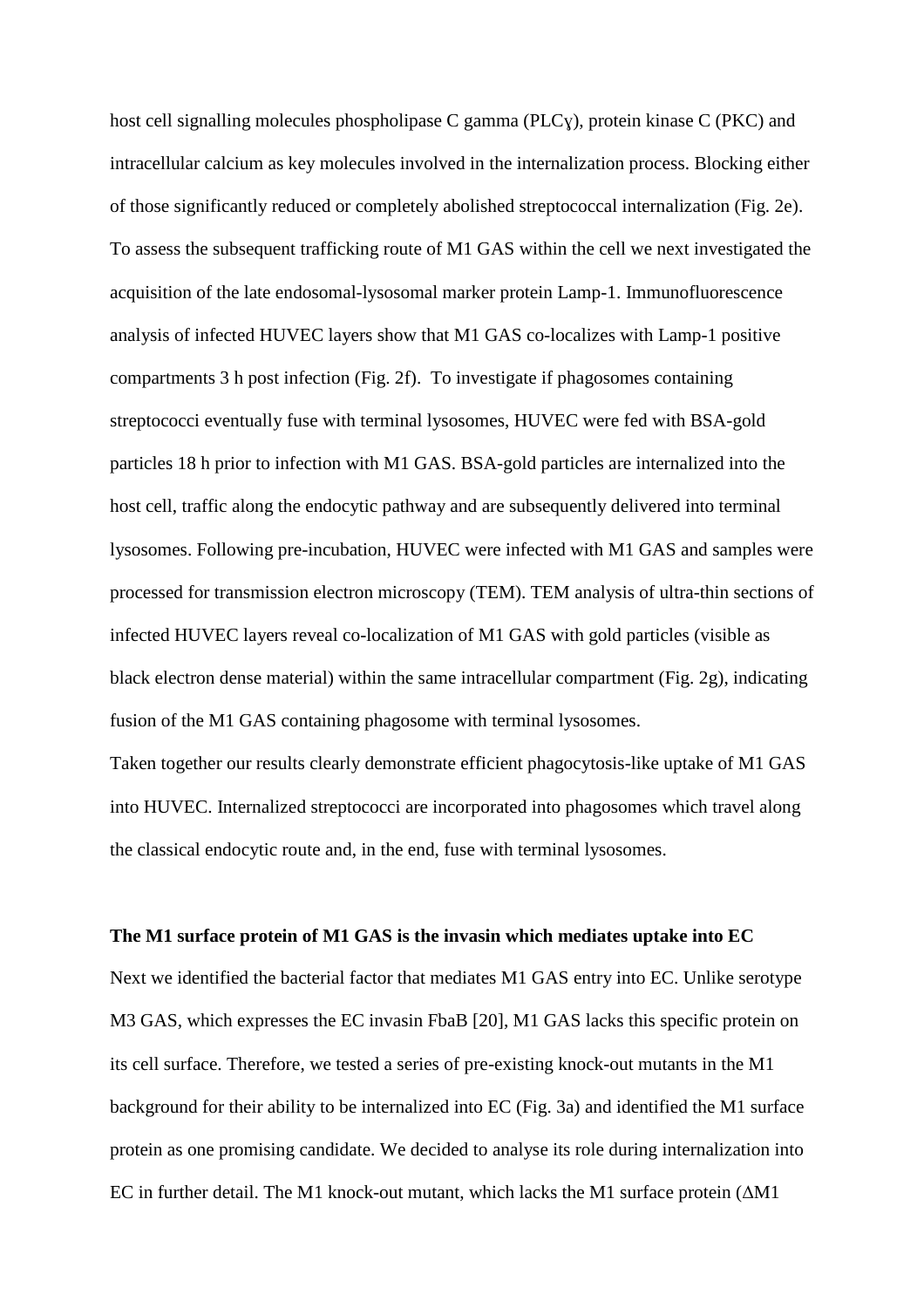host cell signalling molecules phospholipase C gamma (PLCɣ), protein kinase C (PKC) and intracellular calcium as key molecules involved in the internalization process. Blocking either of those significantly reduced or completely abolished streptococcal internalization (Fig. 2e). To assess the subsequent trafficking route of M1 GAS within the cell we next investigated the acquisition of the late endosomal-lysosomal marker protein Lamp-1. Immunofluorescence analysis of infected HUVEC layers show that M1 GAS co-localizes with Lamp-1 positive compartments 3 h post infection (Fig. 2f). To investigate if phagosomes containing streptococci eventually fuse with terminal lysosomes, HUVEC were fed with BSA-gold particles 18 h prior to infection with M1 GAS. BSA-gold particles are internalized into the host cell, traffic along the endocytic pathway and are subsequently delivered into terminal lysosomes. Following pre-incubation, HUVEC were infected with M1 GAS and samples were processed for transmission electron microscopy (TEM). TEM analysis of ultra-thin sections of infected HUVEC layers reveal co-localization of M1 GAS with gold particles (visible as black electron dense material) within the same intracellular compartment (Fig. 2g), indicating fusion of the M1 GAS containing phagosome with terminal lysosomes.

Taken together our results clearly demonstrate efficient phagocytosis-like uptake of M1 GAS into HUVEC. Internalized streptococci are incorporated into phagosomes which travel along the classical endocytic route and, in the end, fuse with terminal lysosomes.

# **The M1 surface protein of M1 GAS is the invasin which mediates uptake into EC**

Next we identified the bacterial factor that mediates M1 GAS entry into EC. Unlike serotype M3 GAS, which expresses the EC invasin FbaB [20], M1 GAS lacks this specific protein on its cell surface. Therefore, we tested a series of pre-existing knock-out mutants in the M1 background for their ability to be internalized into EC (Fig. 3a) and identified the M1 surface protein as one promising candidate. We decided to analyse its role during internalization into EC in further detail. The M1 knock-out mutant, which lacks the M1 surface protein (∆M1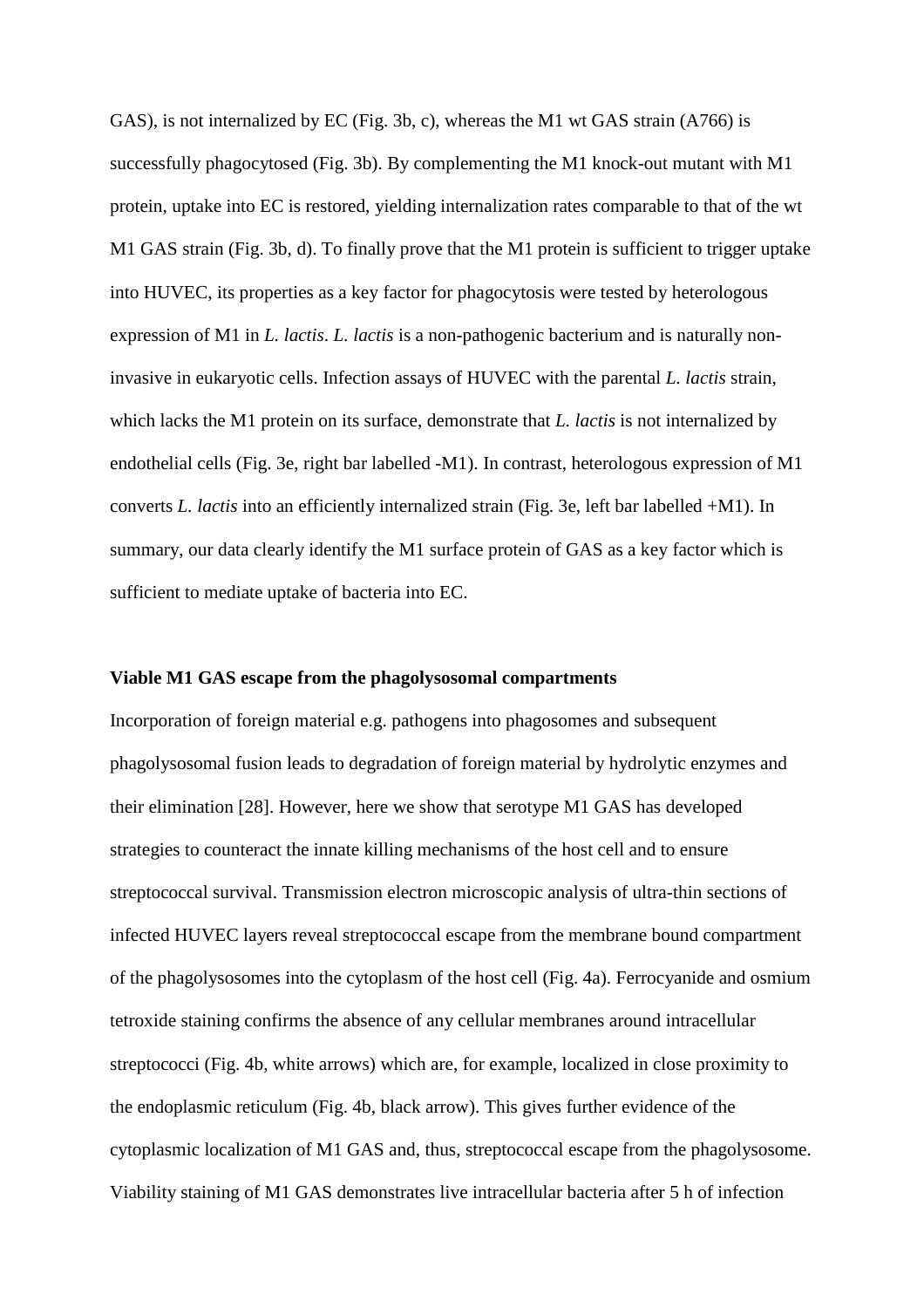GAS), is not internalized by EC (Fig. 3b, c), whereas the M1 wt GAS strain (A766) is successfully phagocytosed (Fig. 3b). By complementing the M1 knock-out mutant with M1 protein, uptake into EC is restored, yielding internalization rates comparable to that of the wt M1 GAS strain (Fig. 3b, d). To finally prove that the M1 protein is sufficient to trigger uptake into HUVEC, its properties as a key factor for phagocytosis were tested by heterologous expression of M1 in *L. lactis*. *L. lactis* is a non-pathogenic bacterium and is naturally noninvasive in eukaryotic cells. Infection assays of HUVEC with the parental *L. lactis* strain, which lacks the M1 protein on its surface, demonstrate that *L. lactis* is not internalized by endothelial cells (Fig. 3e, right bar labelled -M1). In contrast, heterologous expression of M1 converts *L. lactis* into an efficiently internalized strain (Fig. 3e, left bar labelled +M1). In summary, our data clearly identify the M1 surface protein of GAS as a key factor which is sufficient to mediate uptake of bacteria into EC.

# **Viable M1 GAS escape from the phagolysosomal compartments**

Incorporation of foreign material e.g. pathogens into phagosomes and subsequent phagolysosomal fusion leads to degradation of foreign material by hydrolytic enzymes and their elimination [28]. However, here we show that serotype M1 GAS has developed strategies to counteract the innate killing mechanisms of the host cell and to ensure streptococcal survival. Transmission electron microscopic analysis of ultra-thin sections of infected HUVEC layers reveal streptococcal escape from the membrane bound compartment of the phagolysosomes into the cytoplasm of the host cell (Fig. 4a). Ferrocyanide and osmium tetroxide staining confirms the absence of any cellular membranes around intracellular streptococci (Fig. 4b, white arrows) which are, for example, localized in close proximity to the endoplasmic reticulum (Fig. 4b, black arrow). This gives further evidence of the cytoplasmic localization of M1 GAS and, thus, streptococcal escape from the phagolysosome. Viability staining of M1 GAS demonstrates live intracellular bacteria after 5 h of infection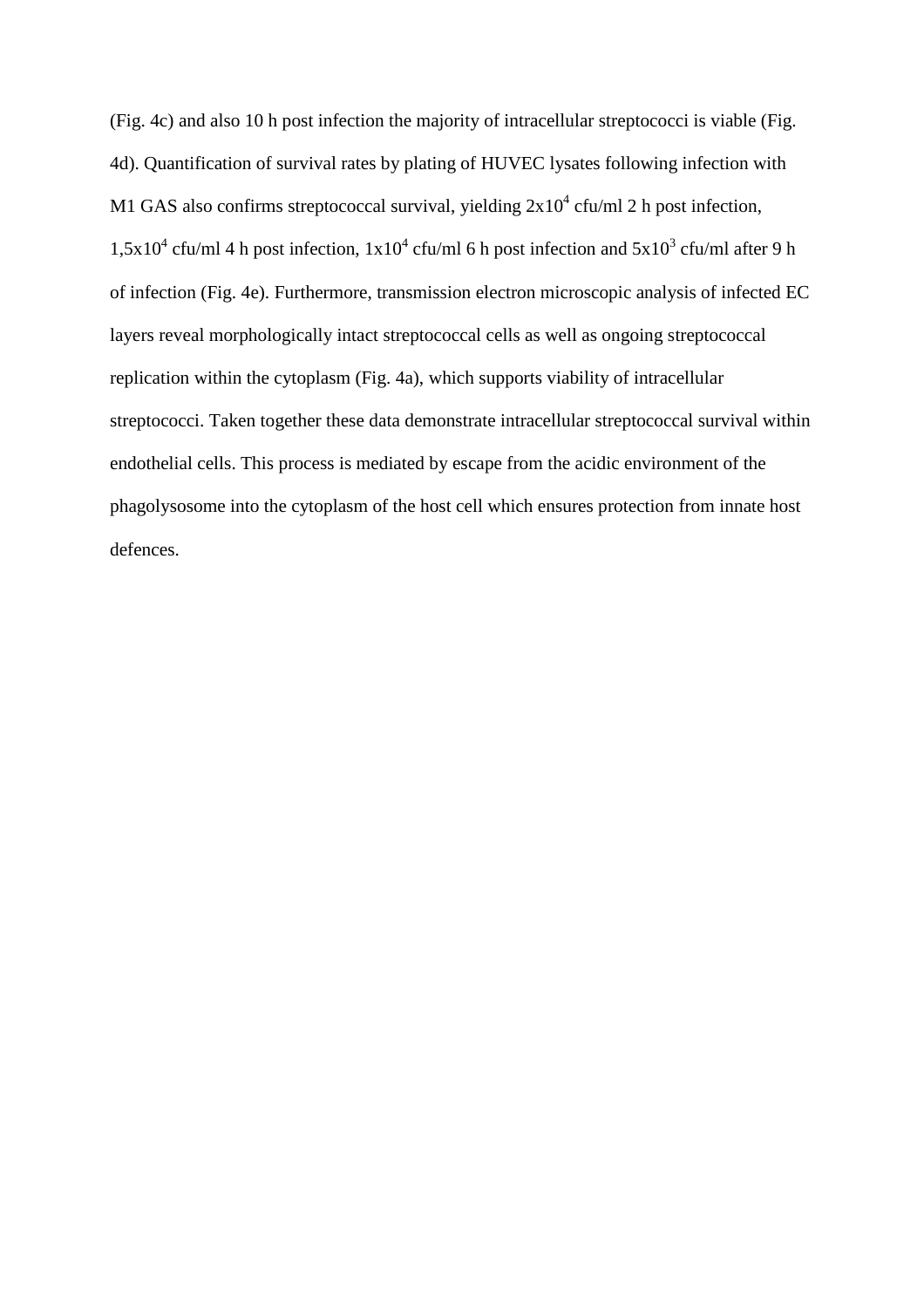(Fig. 4c) and also 10 h post infection the majority of intracellular streptococci is viable (Fig. 4d). Quantification of survival rates by plating of HUVEC lysates following infection with M1 GAS also confirms streptococcal survival, yielding  $2x10^4$  cfu/ml 2 h post infection,  $1,5x10^4$  cfu/ml 4 h post infection,  $1x10^4$  cfu/ml 6 h post infection and  $5x10^3$  cfu/ml after 9 h of infection (Fig. 4e). Furthermore, transmission electron microscopic analysis of infected EC layers reveal morphologically intact streptococcal cells as well as ongoing streptococcal replication within the cytoplasm (Fig. 4a), which supports viability of intracellular streptococci. Taken together these data demonstrate intracellular streptococcal survival within endothelial cells. This process is mediated by escape from the acidic environment of the phagolysosome into the cytoplasm of the host cell which ensures protection from innate host defences.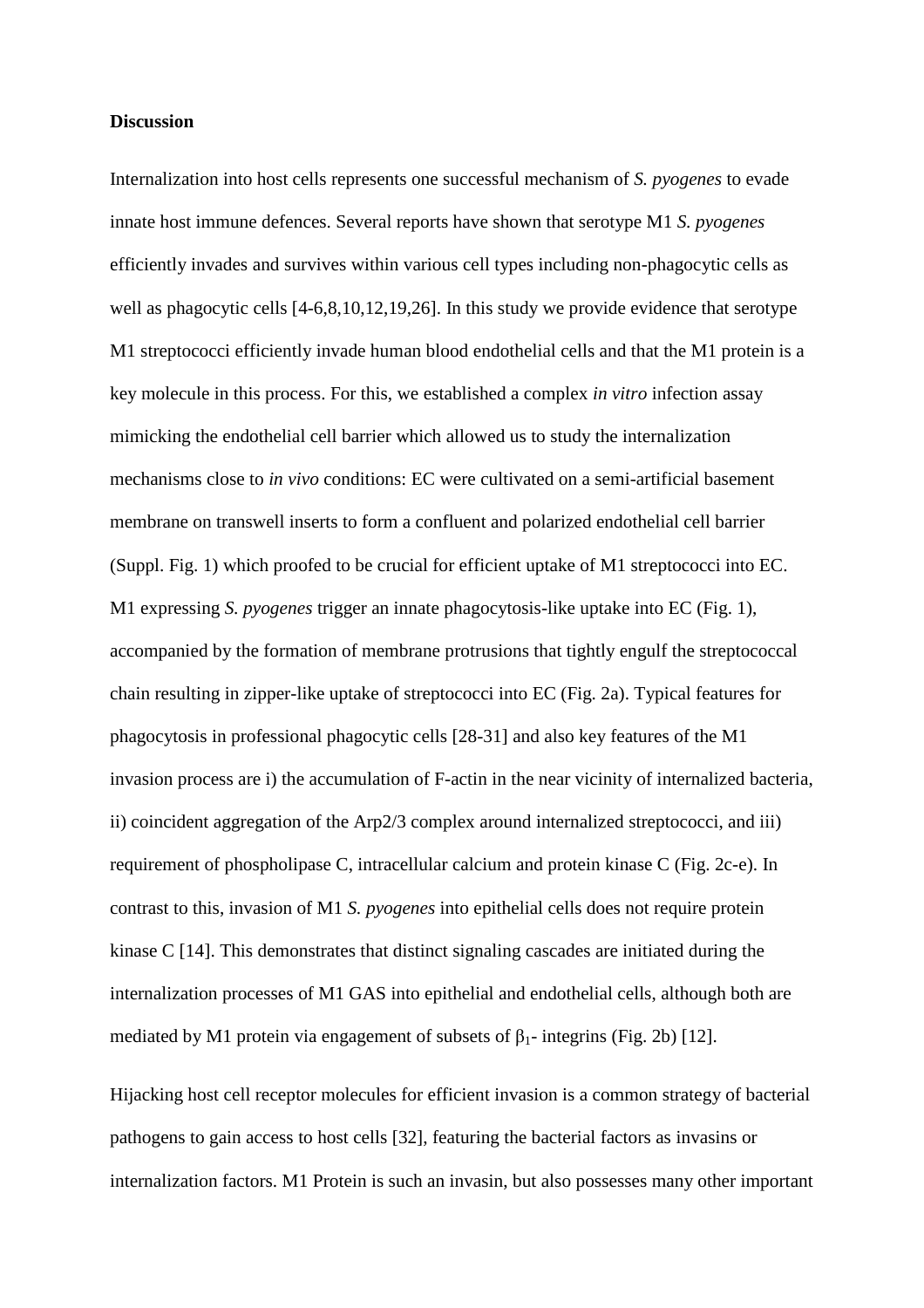# **Discussion**

Internalization into host cells represents one successful mechanism of *S. pyogenes* to evade innate host immune defences. Several reports have shown that serotype M1 *S. pyogenes* efficiently invades and survives within various cell types including non-phagocytic cells as well as phagocytic cells [4-6,8,10,12,19,26]. In this study we provide evidence that serotype M1 streptococci efficiently invade human blood endothelial cells and that the M1 protein is a key molecule in this process. For this, we established a complex *in vitro* infection assay mimicking the endothelial cell barrier which allowed us to study the internalization mechanisms close to *in vivo* conditions: EC were cultivated on a semi-artificial basement membrane on transwell inserts to form a confluent and polarized endothelial cell barrier (Suppl. Fig. 1) which proofed to be crucial for efficient uptake of M1 streptococci into EC. M1 expressing *S. pyogenes* trigger an innate phagocytosis-like uptake into EC (Fig. 1), accompanied by the formation of membrane protrusions that tightly engulf the streptococcal chain resulting in zipper-like uptake of streptococci into EC (Fig. 2a). Typical features for phagocytosis in professional phagocytic cells [28-31] and also key features of the M1 invasion process are i) the accumulation of F-actin in the near vicinity of internalized bacteria, ii) coincident aggregation of the Arp2/3 complex around internalized streptococci, and iii) requirement of phospholipase C, intracellular calcium and protein kinase C (Fig. 2c-e). In contrast to this, invasion of M1 *S. pyogenes* into epithelial cells does not require protein kinase C [14]. This demonstrates that distinct signaling cascades are initiated during the internalization processes of M1 GAS into epithelial and endothelial cells, although both are mediated by M1 protein via engagement of subsets of  $\beta_1$ - integrins (Fig. 2b) [12].

Hijacking host cell receptor molecules for efficient invasion is a common strategy of bacterial pathogens to gain access to host cells [32], featuring the bacterial factors as invasins or internalization factors. M1 Protein is such an invasin, but also possesses many other important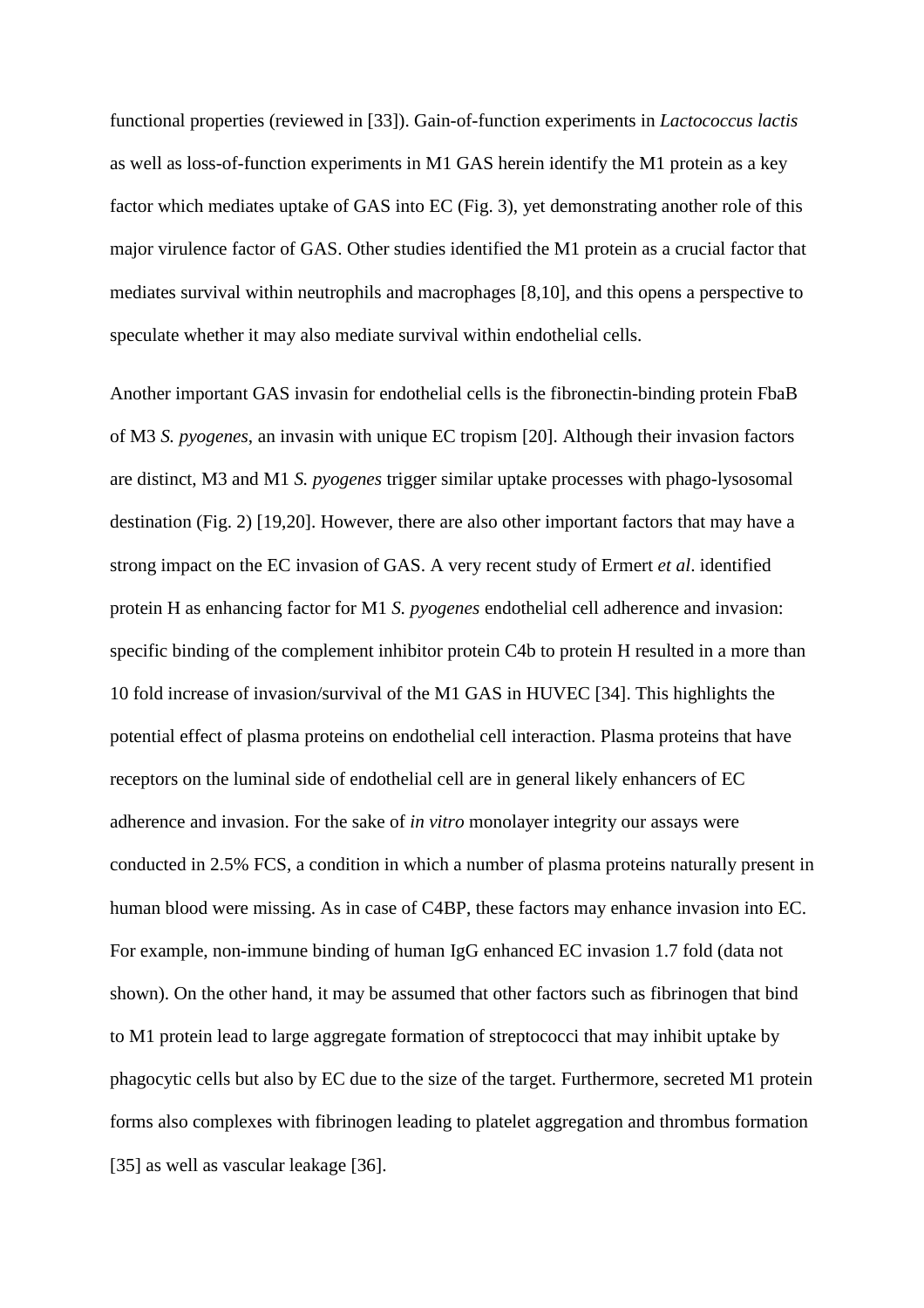functional properties (reviewed in [33]). Gain-of-function experiments in *Lactococcus lactis* as well as loss-of-function experiments in M1 GAS herein identify the M1 protein as a key factor which mediates uptake of GAS into EC (Fig. 3), yet demonstrating another role of this major virulence factor of GAS. Other studies identified the M1 protein as a crucial factor that mediates survival within neutrophils and macrophages [8,10], and this opens a perspective to speculate whether it may also mediate survival within endothelial cells.

Another important GAS invasin for endothelial cells is the fibronectin-binding protein FbaB of M3 *S. pyogenes*, an invasin with unique EC tropism [20]. Although their invasion factors are distinct, M3 and M1 *S. pyogenes* trigger similar uptake processes with phago-lysosomal destination (Fig. 2) [19,20]. However, there are also other important factors that may have a strong impact on the EC invasion of GAS. A very recent study of Ermert *et al*. identified protein H as enhancing factor for M1 *S. pyogenes* endothelial cell adherence and invasion: specific binding of the complement inhibitor protein C4b to protein H resulted in a more than 10 fold increase of invasion/survival of the M1 GAS in HUVEC [34]. This highlights the potential effect of plasma proteins on endothelial cell interaction. Plasma proteins that have receptors on the luminal side of endothelial cell are in general likely enhancers of EC adherence and invasion. For the sake of *in vitro* monolayer integrity our assays were conducted in 2.5% FCS, a condition in which a number of plasma proteins naturally present in human blood were missing. As in case of C4BP, these factors may enhance invasion into EC. For example, non-immune binding of human IgG enhanced EC invasion 1.7 fold (data not shown). On the other hand, it may be assumed that other factors such as fibrinogen that bind to M1 protein lead to large aggregate formation of streptococci that may inhibit uptake by phagocytic cells but also by EC due to the size of the target. Furthermore, secreted M1 protein forms also complexes with fibrinogen leading to platelet aggregation and thrombus formation [35] as well as vascular leakage [36].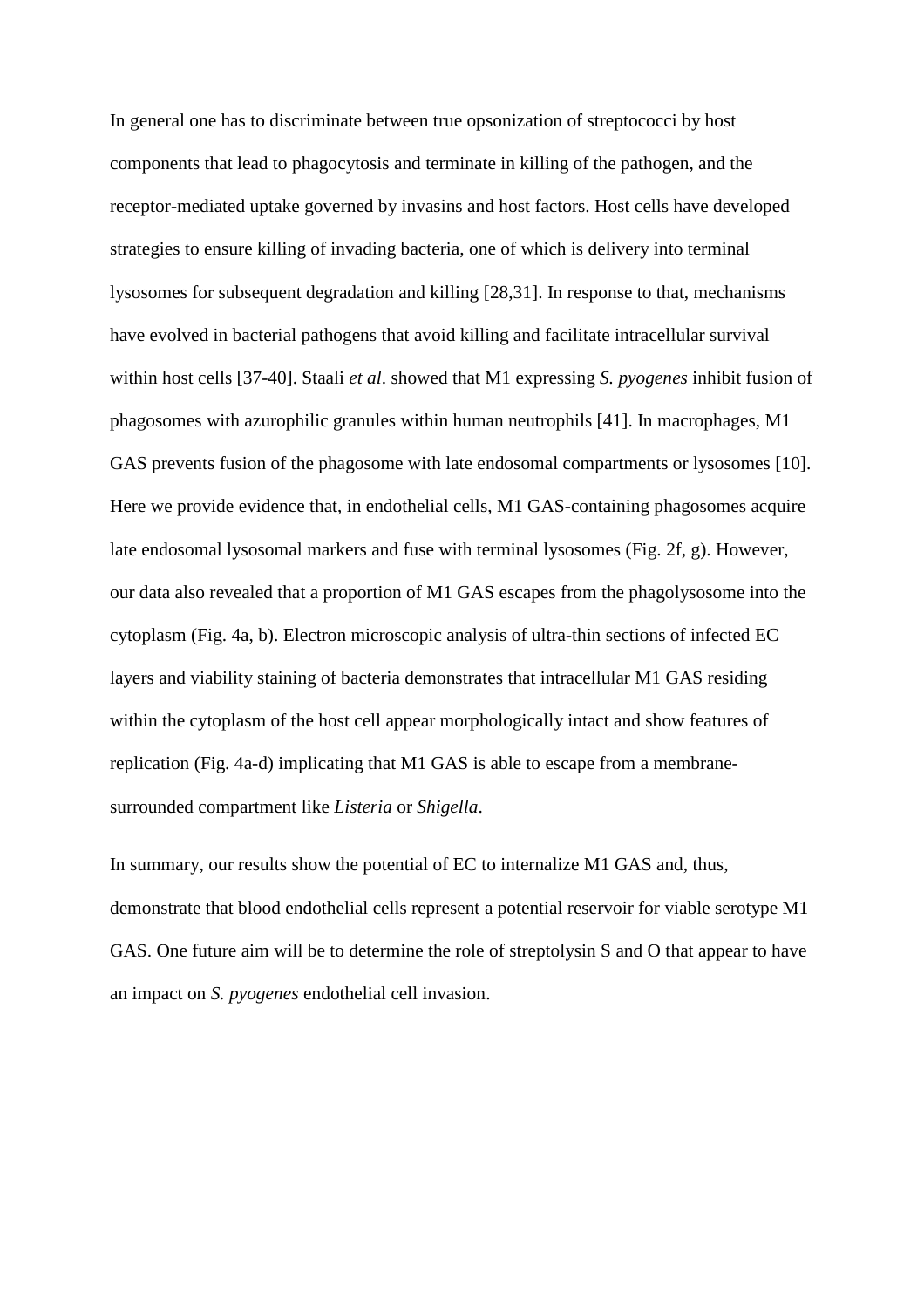In general one has to discriminate between true opsonization of streptococci by host components that lead to phagocytosis and terminate in killing of the pathogen, and the receptor-mediated uptake governed by invasins and host factors. Host cells have developed strategies to ensure killing of invading bacteria, one of which is delivery into terminal lysosomes for subsequent degradation and killing [28,31]. In response to that, mechanisms have evolved in bacterial pathogens that avoid killing and facilitate intracellular survival within host cells [37-40]. Staali *et al*. showed that M1 expressing *S. pyogenes* inhibit fusion of phagosomes with azurophilic granules within human neutrophils [41]. In macrophages, M1 GAS prevents fusion of the phagosome with late endosomal compartments or lysosomes [10]. Here we provide evidence that, in endothelial cells, M1 GAS-containing phagosomes acquire late endosomal lysosomal markers and fuse with terminal lysosomes (Fig. 2f, g). However, our data also revealed that a proportion of M1 GAS escapes from the phagolysosome into the cytoplasm (Fig. 4a, b). Electron microscopic analysis of ultra-thin sections of infected EC layers and viability staining of bacteria demonstrates that intracellular M1 GAS residing within the cytoplasm of the host cell appear morphologically intact and show features of replication (Fig. 4a-d) implicating that M1 GAS is able to escape from a membranesurrounded compartment like *Listeria* or *Shigella*.

In summary, our results show the potential of EC to internalize M1 GAS and, thus, demonstrate that blood endothelial cells represent a potential reservoir for viable serotype M1 GAS. One future aim will be to determine the role of streptolysin S and O that appear to have an impact on *S. pyogenes* endothelial cell invasion.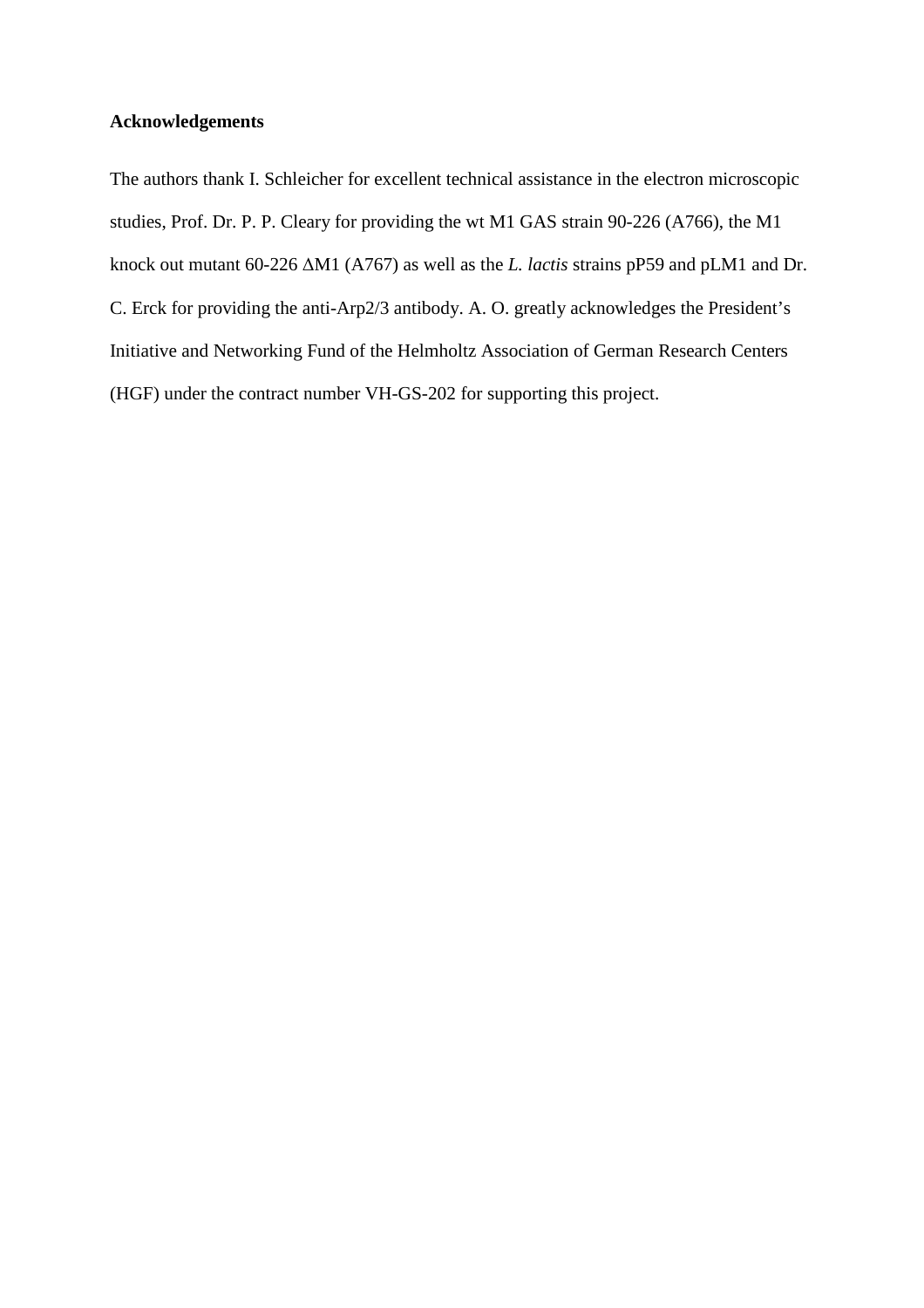# **Acknowledgements**

The authors thank I. Schleicher for excellent technical assistance in the electron microscopic studies, Prof. Dr. P. P. Cleary for providing the wt M1 GAS strain 90-226 (A766), the M1 knock out mutant 60-226 ∆M1 (A767) as well as the *L. lactis* strains pP59 and pLM1 and Dr. C. Erck for providing the anti-Arp2/3 antibody. A. O. greatly acknowledges the President's Initiative and Networking Fund of the Helmholtz Association of German Research Centers (HGF) under the contract number VH-GS-202 for supporting this project.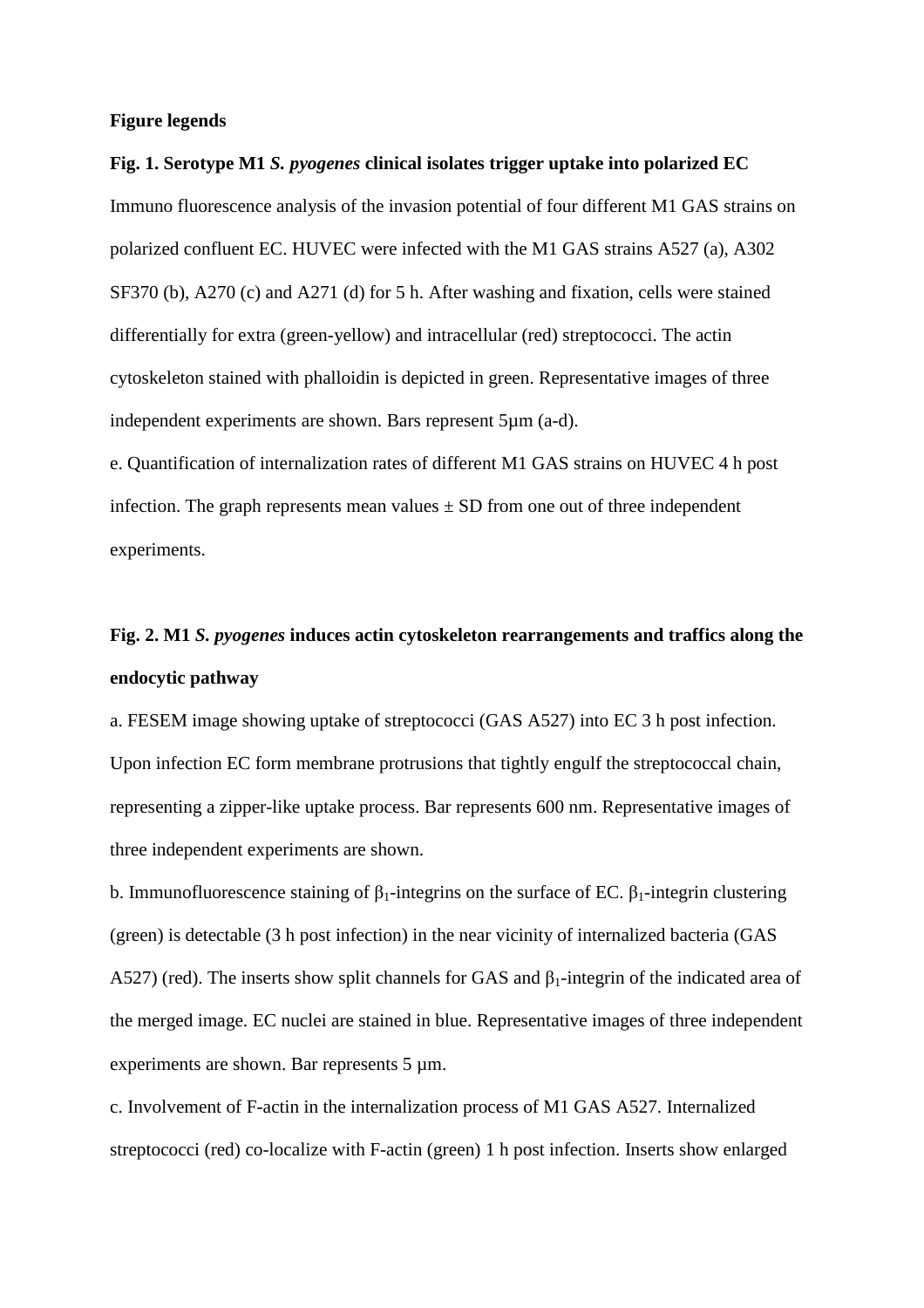### **Figure legends**

# **Fig. 1. Serotype M1** *S. pyogenes* **clinical isolates trigger uptake into polarized EC** Immuno fluorescence analysis of the invasion potential of four different M1 GAS strains on polarized confluent EC. HUVEC were infected with the M1 GAS strains A527 (a), A302 SF370 (b), A270 (c) and A271 (d) for 5 h. After washing and fixation, cells were stained differentially for extra (green-yellow) and intracellular (red) streptococci. The actin cytoskeleton stained with phalloidin is depicted in green. Representative images of three independent experiments are shown. Bars represent 5µm (a-d).

e. Quantification of internalization rates of different M1 GAS strains on HUVEC 4 h post infection. The graph represents mean values  $\pm$  SD from one out of three independent experiments.

# **Fig. 2. M1** *S. pyogenes* **induces actin cytoskeleton rearrangements and traffics along the endocytic pathway**

a. FESEM image showing uptake of streptococci (GAS A527) into EC 3 h post infection. Upon infection EC form membrane protrusions that tightly engulf the streptococcal chain, representing a zipper-like uptake process. Bar represents 600 nm. Representative images of three independent experiments are shown.

b. Immunofluorescence staining of  $\beta_1$ -integrins on the surface of EC.  $\beta_1$ -integrin clustering (green) is detectable (3 h post infection) in the near vicinity of internalized bacteria (GAS A527) (red). The inserts show split channels for GAS and  $\beta_1$ -integrin of the indicated area of the merged image. EC nuclei are stained in blue. Representative images of three independent experiments are shown. Bar represents 5  $\mu$ m.

c. Involvement of F-actin in the internalization process of M1 GAS A527. Internalized streptococci (red) co-localize with F-actin (green) 1 h post infection. Inserts show enlarged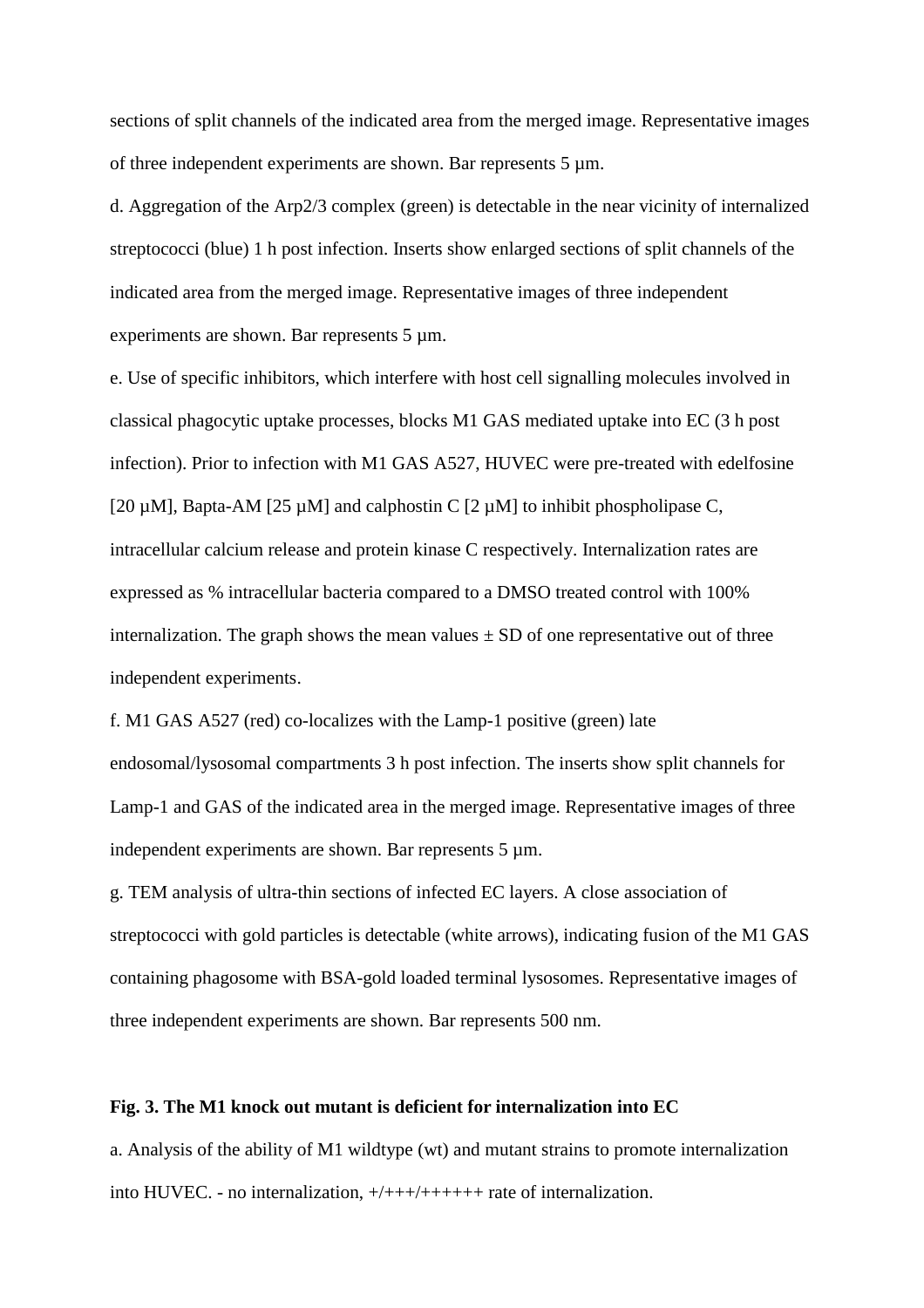sections of split channels of the indicated area from the merged image. Representative images of three independent experiments are shown. Bar represents 5 µm.

d. Aggregation of the Arp2/3 complex (green) is detectable in the near vicinity of internalized streptococci (blue) 1 h post infection. Inserts show enlarged sections of split channels of the indicated area from the merged image. Representative images of three independent experiments are shown. Bar represents 5  $\mu$ m.

e. Use of specific inhibitors, which interfere with host cell signalling molecules involved in classical phagocytic uptake processes, blocks M1 GAS mediated uptake into EC (3 h post infection). Prior to infection with M1 GAS A527, HUVEC were pre-treated with edelfosine [20  $\mu$ M], Bapta-AM [25  $\mu$ M] and calphostin C [2  $\mu$ M] to inhibit phospholipase C, intracellular calcium release and protein kinase C respectively. Internalization rates are expressed as % intracellular bacteria compared to a DMSO treated control with 100% internalization. The graph shows the mean values  $\pm$  SD of one representative out of three independent experiments.

f. M1 GAS A527 (red) co-localizes with the Lamp-1 positive (green) late endosomal/lysosomal compartments 3 h post infection. The inserts show split channels for Lamp-1 and GAS of the indicated area in the merged image. Representative images of three independent experiments are shown. Bar represents  $5 \mu m$ .

g. TEM analysis of ultra-thin sections of infected EC layers. A close association of streptococci with gold particles is detectable (white arrows), indicating fusion of the M1 GAS containing phagosome with BSA-gold loaded terminal lysosomes. Representative images of three independent experiments are shown. Bar represents 500 nm.

### **Fig. 3. The M1 knock out mutant is deficient for internalization into EC**

a. Analysis of the ability of M1 wildtype (wt) and mutant strains to promote internalization into HUVEC. - no internalization,  $+/+++/++++++$  rate of internalization.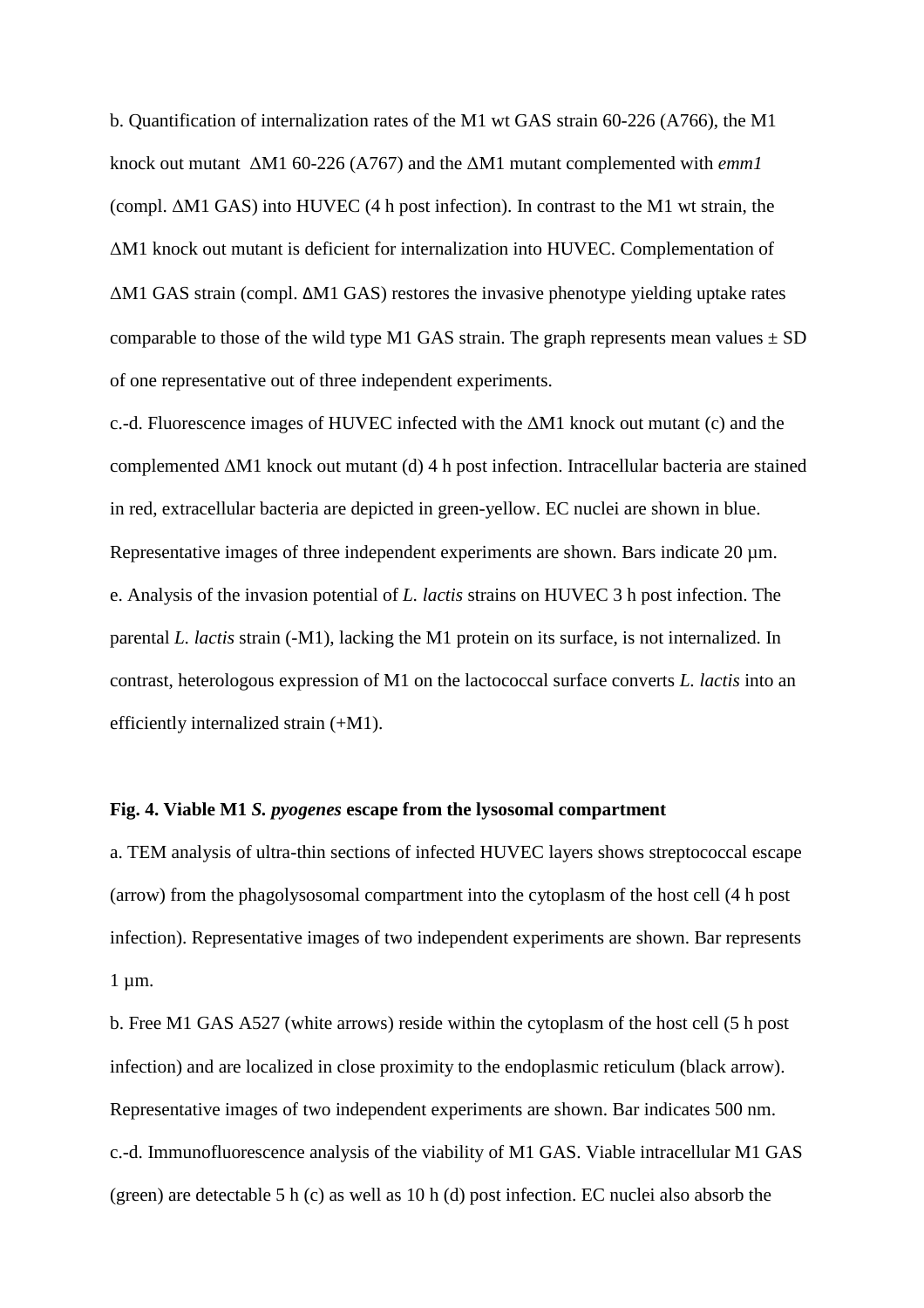b. Quantification of internalization rates of the M1 wt GAS strain 60-226 (A766), the M1 knock out mutant ∆M1 60-226 (A767) and the ∆M1 mutant complemented with *emm1* (compl. ∆M1 GAS) into HUVEC (4 h post infection). In contrast to the M1 wt strain, the ∆M1 knock out mutant is deficient for internalization into HUVEC. Complementation of ∆M1 GAS strain (compl. ΔM1 GAS) restores the invasive phenotype yielding uptake rates comparable to those of the wild type M1 GAS strain. The graph represents mean values  $\pm$  SD of one representative out of three independent experiments.

c.-d. Fluorescence images of HUVEC infected with the ∆M1 knock out mutant (c) and the complemented ∆M1 knock out mutant (d) 4 h post infection. Intracellular bacteria are stained in red, extracellular bacteria are depicted in green-yellow. EC nuclei are shown in blue. Representative images of three independent experiments are shown. Bars indicate 20  $\mu$ m. e. Analysis of the invasion potential of *L. lactis* strains on HUVEC 3 h post infection. The parental *L. lactis* strain (-M1), lacking the M1 protein on its surface, is not internalized. In contrast, heterologous expression of M1 on the lactococcal surface converts *L. lactis* into an efficiently internalized strain (+M1).

# **Fig. 4. Viable M1** *S. pyogenes* **escape from the lysosomal compartment**

a. TEM analysis of ultra-thin sections of infected HUVEC layers shows streptococcal escape (arrow) from the phagolysosomal compartment into the cytoplasm of the host cell (4 h post infection). Representative images of two independent experiments are shown. Bar represents 1 µm.

b. Free M1 GAS A527 (white arrows) reside within the cytoplasm of the host cell (5 h post infection) and are localized in close proximity to the endoplasmic reticulum (black arrow). Representative images of two independent experiments are shown. Bar indicates 500 nm. c.-d. Immunofluorescence analysis of the viability of M1 GAS. Viable intracellular M1 GAS (green) are detectable 5 h (c) as well as 10 h (d) post infection. EC nuclei also absorb the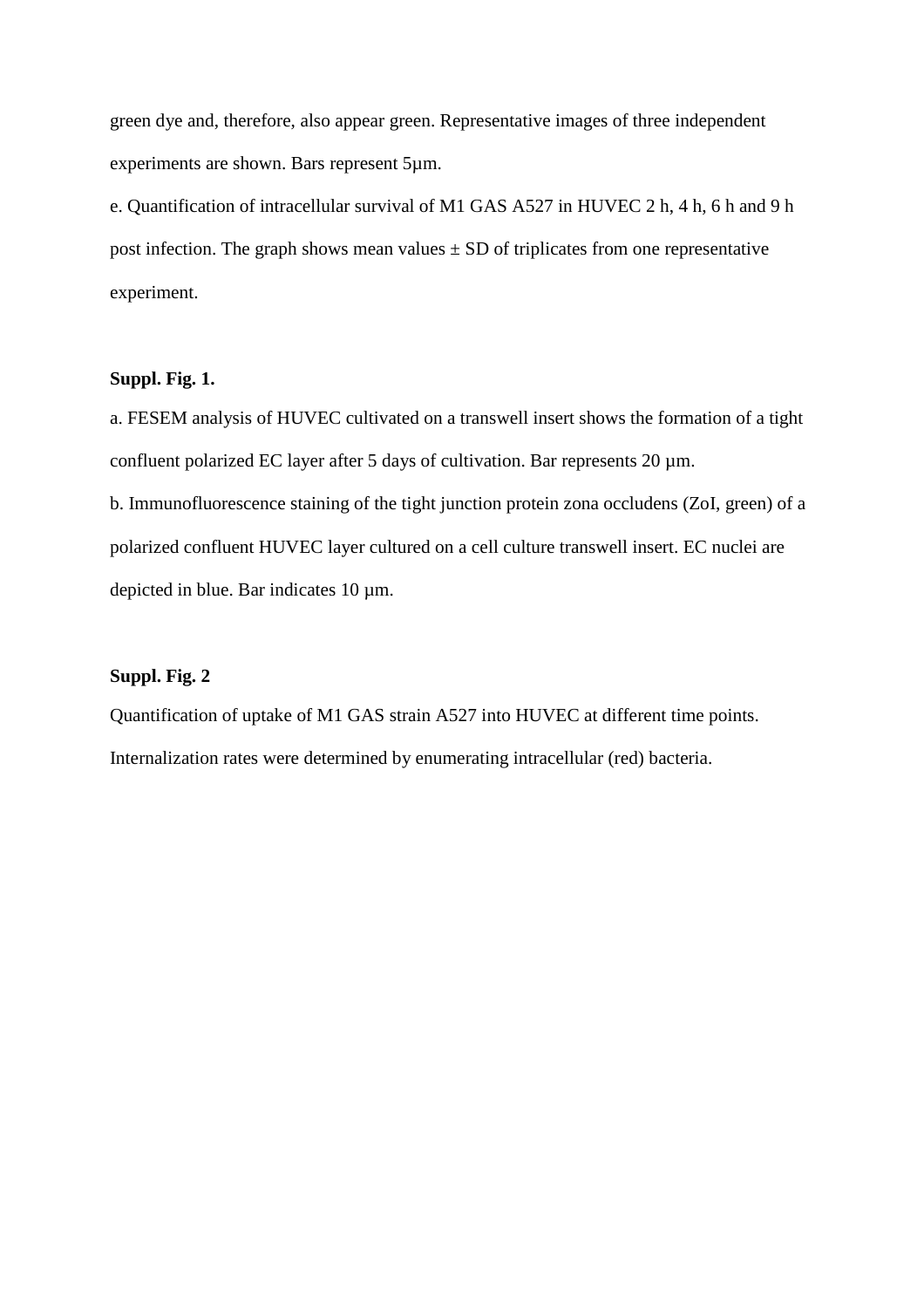green dye and, therefore, also appear green. Representative images of three independent experiments are shown. Bars represent 5µm.

e. Quantification of intracellular survival of M1 GAS A527 in HUVEC 2 h, 4 h, 6 h and 9 h post infection. The graph shows mean values  $\pm$  SD of triplicates from one representative experiment.

# **Suppl. Fig. 1.**

a. FESEM analysis of HUVEC cultivated on a transwell insert shows the formation of a tight confluent polarized EC layer after 5 days of cultivation. Bar represents 20  $\mu$ m. b. Immunofluorescence staining of the tight junction protein zona occludens (ZoI, green) of a polarized confluent HUVEC layer cultured on a cell culture transwell insert. EC nuclei are

depicted in blue. Bar indicates 10 µm.

# **Suppl. Fig. 2**

Quantification of uptake of M1 GAS strain A527 into HUVEC at different time points. Internalization rates were determined by enumerating intracellular (red) bacteria.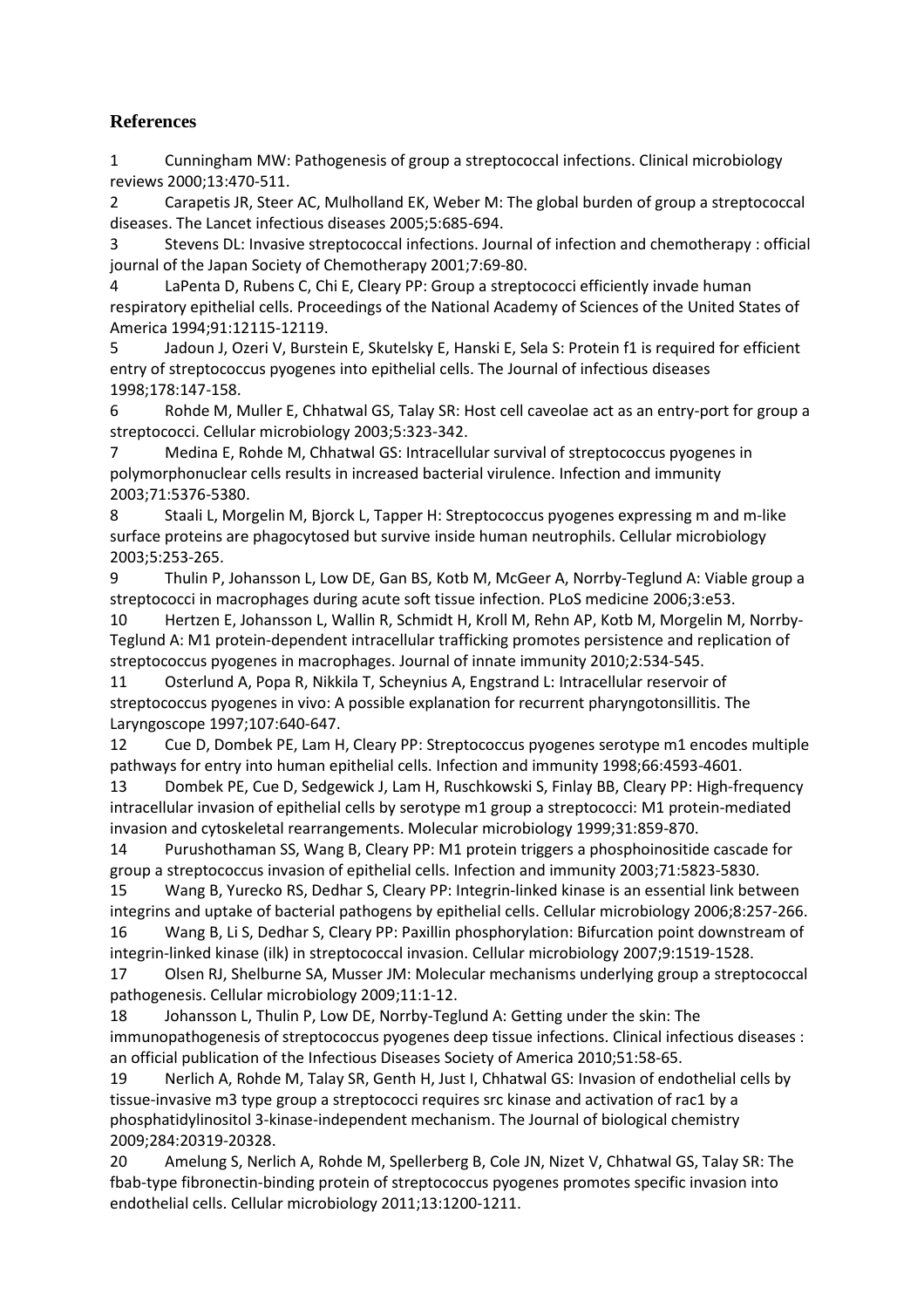# **References**

1 Cunningham MW: Pathogenesis of group a streptococcal infections. Clinical microbiology reviews 2000;13:470-511.

2 Carapetis JR, Steer AC, Mulholland EK, Weber M: The global burden of group a streptococcal diseases. The Lancet infectious diseases 2005;5:685-694.

3 Stevens DL: Invasive streptococcal infections. Journal of infection and chemotherapy : official journal of the Japan Society of Chemotherapy 2001;7:69-80.

4 LaPenta D, Rubens C, Chi E, Cleary PP: Group a streptococci efficiently invade human respiratory epithelial cells. Proceedings of the National Academy of Sciences of the United States of America 1994;91:12115-12119.

5 Jadoun J, Ozeri V, Burstein E, Skutelsky E, Hanski E, Sela S: Protein f1 is required for efficient entry of streptococcus pyogenes into epithelial cells. The Journal of infectious diseases 1998;178:147-158.

6 Rohde M, Muller E, Chhatwal GS, Talay SR: Host cell caveolae act as an entry-port for group a streptococci. Cellular microbiology 2003;5:323-342.

7 Medina E, Rohde M, Chhatwal GS: Intracellular survival of streptococcus pyogenes in polymorphonuclear cells results in increased bacterial virulence. Infection and immunity 2003;71:5376-5380.

8 Staali L, Morgelin M, Bjorck L, Tapper H: Streptococcus pyogenes expressing m and m-like surface proteins are phagocytosed but survive inside human neutrophils. Cellular microbiology 2003;5:253-265.

9 Thulin P, Johansson L, Low DE, Gan BS, Kotb M, McGeer A, Norrby-Teglund A: Viable group a streptococci in macrophages during acute soft tissue infection. PLoS medicine 2006;3:e53.

10 Hertzen E, Johansson L, Wallin R, Schmidt H, Kroll M, Rehn AP, Kotb M, Morgelin M, Norrby-Teglund A: M1 protein-dependent intracellular trafficking promotes persistence and replication of streptococcus pyogenes in macrophages. Journal of innate immunity 2010;2:534-545.

11 Osterlund A, Popa R, Nikkila T, Scheynius A, Engstrand L: Intracellular reservoir of streptococcus pyogenes in vivo: A possible explanation for recurrent pharyngotonsillitis. The Laryngoscope 1997;107:640-647.

12 Cue D, Dombek PE, Lam H, Cleary PP: Streptococcus pyogenes serotype m1 encodes multiple pathways for entry into human epithelial cells. Infection and immunity 1998;66:4593-4601.

13 Dombek PE, Cue D, Sedgewick J, Lam H, Ruschkowski S, Finlay BB, Cleary PP: High-frequency intracellular invasion of epithelial cells by serotype m1 group a streptococci: M1 protein-mediated invasion and cytoskeletal rearrangements. Molecular microbiology 1999;31:859-870.

14 Purushothaman SS, Wang B, Cleary PP: M1 protein triggers a phosphoinositide cascade for group a streptococcus invasion of epithelial cells. Infection and immunity 2003;71:5823-5830.

15 Wang B, Yurecko RS, Dedhar S, Cleary PP: Integrin-linked kinase is an essential link between integrins and uptake of bacterial pathogens by epithelial cells. Cellular microbiology 2006;8:257-266.

16 Wang B, Li S, Dedhar S, Cleary PP: Paxillin phosphorylation: Bifurcation point downstream of integrin-linked kinase (ilk) in streptococcal invasion. Cellular microbiology 2007;9:1519-1528.

17 Olsen RJ, Shelburne SA, Musser JM: Molecular mechanisms underlying group a streptococcal pathogenesis. Cellular microbiology 2009;11:1-12.

18 Johansson L, Thulin P, Low DE, Norrby-Teglund A: Getting under the skin: The immunopathogenesis of streptococcus pyogenes deep tissue infections. Clinical infectious diseases : an official publication of the Infectious Diseases Society of America 2010;51:58-65.

19 Nerlich A, Rohde M, Talay SR, Genth H, Just I, Chhatwal GS: Invasion of endothelial cells by tissue-invasive m3 type group a streptococci requires src kinase and activation of rac1 by a phosphatidylinositol 3-kinase-independent mechanism. The Journal of biological chemistry 2009;284:20319-20328.

20 Amelung S, Nerlich A, Rohde M, Spellerberg B, Cole JN, Nizet V, Chhatwal GS, Talay SR: The fbab-type fibronectin-binding protein of streptococcus pyogenes promotes specific invasion into endothelial cells. Cellular microbiology 2011;13:1200-1211.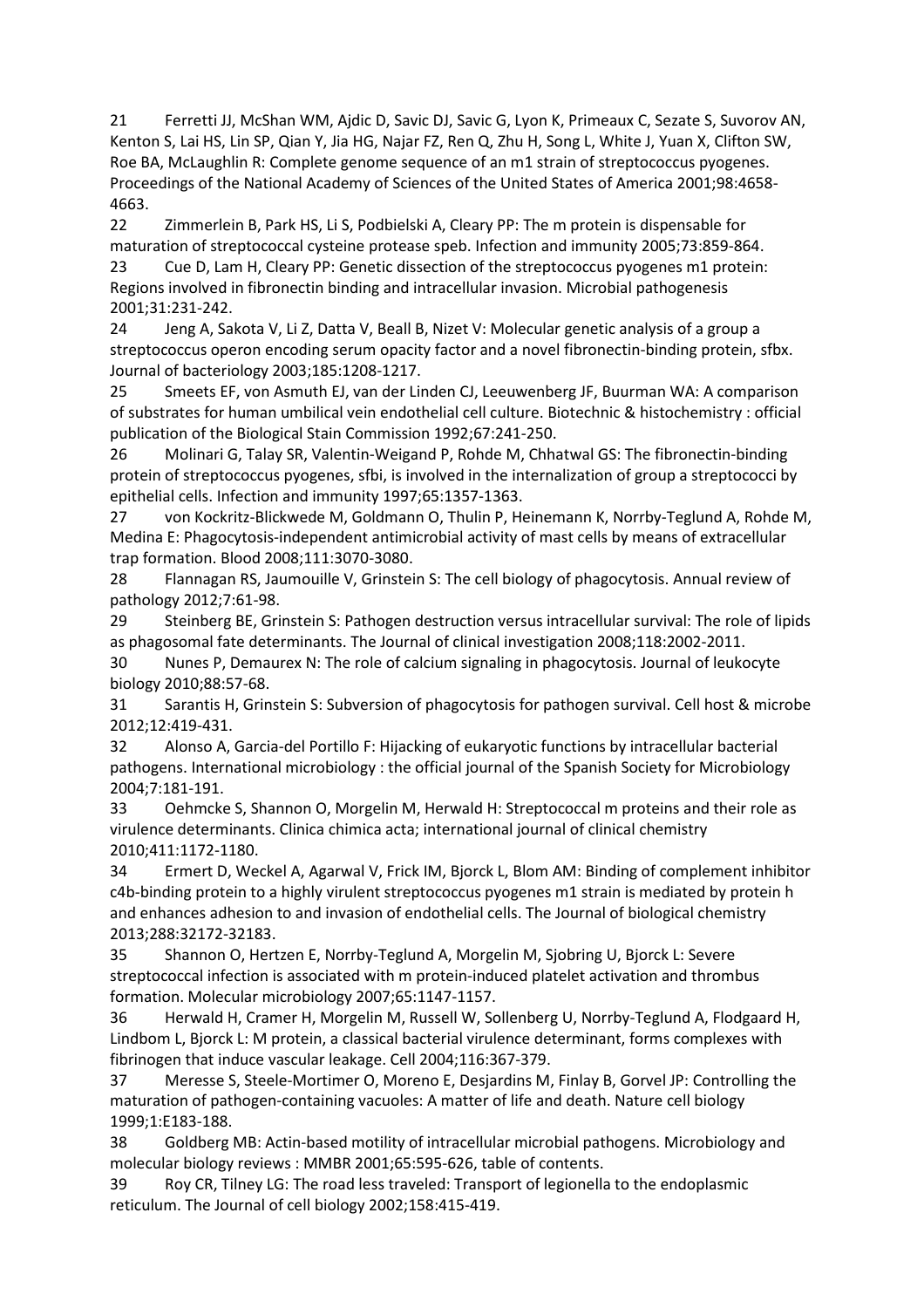21 Ferretti JJ, McShan WM, Ajdic D, Savic DJ, Savic G, Lyon K, Primeaux C, Sezate S, Suvorov AN, Kenton S, Lai HS, Lin SP, Qian Y, Jia HG, Najar FZ, Ren Q, Zhu H, Song L, White J, Yuan X, Clifton SW, Roe BA, McLaughlin R: Complete genome sequence of an m1 strain of streptococcus pyogenes. Proceedings of the National Academy of Sciences of the United States of America 2001;98:4658- 4663.

22 Zimmerlein B, Park HS, Li S, Podbielski A, Cleary PP: The m protein is dispensable for maturation of streptococcal cysteine protease speb. Infection and immunity 2005;73:859-864.

23 Cue D, Lam H, Cleary PP: Genetic dissection of the streptococcus pyogenes m1 protein: Regions involved in fibronectin binding and intracellular invasion. Microbial pathogenesis 2001;31:231-242.

24 Jeng A, Sakota V, Li Z, Datta V, Beall B, Nizet V: Molecular genetic analysis of a group a streptococcus operon encoding serum opacity factor and a novel fibronectin-binding protein, sfbx. Journal of bacteriology 2003;185:1208-1217.

25 Smeets EF, von Asmuth EJ, van der Linden CJ, Leeuwenberg JF, Buurman WA: A comparison of substrates for human umbilical vein endothelial cell culture. Biotechnic & histochemistry : official publication of the Biological Stain Commission 1992;67:241-250.

26 Molinari G, Talay SR, Valentin-Weigand P, Rohde M, Chhatwal GS: The fibronectin-binding protein of streptococcus pyogenes, sfbi, is involved in the internalization of group a streptococci by epithelial cells. Infection and immunity 1997;65:1357-1363.

27 von Kockritz-Blickwede M, Goldmann O, Thulin P, Heinemann K, Norrby-Teglund A, Rohde M, Medina E: Phagocytosis-independent antimicrobial activity of mast cells by means of extracellular trap formation. Blood 2008;111:3070-3080.

28 Flannagan RS, Jaumouille V, Grinstein S: The cell biology of phagocytosis. Annual review of pathology 2012;7:61-98.

29 Steinberg BE, Grinstein S: Pathogen destruction versus intracellular survival: The role of lipids as phagosomal fate determinants. The Journal of clinical investigation 2008;118:2002-2011.

30 Nunes P, Demaurex N: The role of calcium signaling in phagocytosis. Journal of leukocyte biology 2010;88:57-68.

31 Sarantis H, Grinstein S: Subversion of phagocytosis for pathogen survival. Cell host & microbe 2012;12:419-431.

32 Alonso A, Garcia-del Portillo F: Hijacking of eukaryotic functions by intracellular bacterial pathogens. International microbiology : the official journal of the Spanish Society for Microbiology 2004;7:181-191.

33 Oehmcke S, Shannon O, Morgelin M, Herwald H: Streptococcal m proteins and their role as virulence determinants. Clinica chimica acta; international journal of clinical chemistry 2010;411:1172-1180.

34 Ermert D, Weckel A, Agarwal V, Frick IM, Bjorck L, Blom AM: Binding of complement inhibitor c4b-binding protein to a highly virulent streptococcus pyogenes m1 strain is mediated by protein h and enhances adhesion to and invasion of endothelial cells. The Journal of biological chemistry 2013;288:32172-32183.

35 Shannon O, Hertzen E, Norrby-Teglund A, Morgelin M, Sjobring U, Bjorck L: Severe streptococcal infection is associated with m protein-induced platelet activation and thrombus formation. Molecular microbiology 2007;65:1147-1157.

36 Herwald H, Cramer H, Morgelin M, Russell W, Sollenberg U, Norrby-Teglund A, Flodgaard H, Lindbom L, Bjorck L: M protein, a classical bacterial virulence determinant, forms complexes with fibrinogen that induce vascular leakage. Cell 2004;116:367-379.

37 Meresse S, Steele-Mortimer O, Moreno E, Desjardins M, Finlay B, Gorvel JP: Controlling the maturation of pathogen-containing vacuoles: A matter of life and death. Nature cell biology 1999;1:E183-188.

38 Goldberg MB: Actin-based motility of intracellular microbial pathogens. Microbiology and molecular biology reviews : MMBR 2001;65:595-626, table of contents.

39 Roy CR, Tilney LG: The road less traveled: Transport of legionella to the endoplasmic reticulum. The Journal of cell biology 2002;158:415-419.